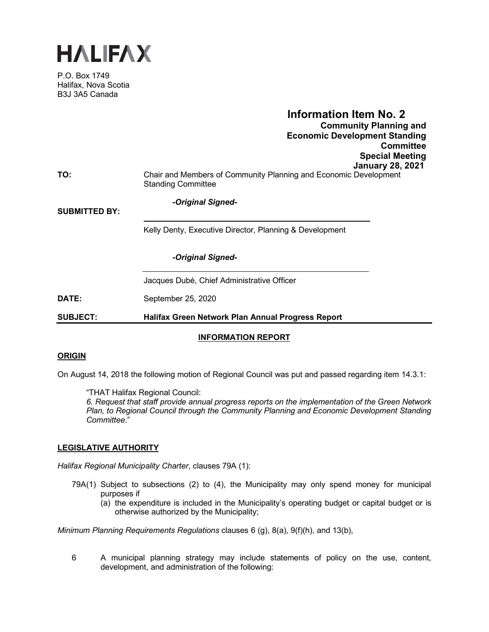

P.O. Box 1749 Halifax, Nova Scotia B3J 3A5 Canada

# **Information Item No. 2 Community Planning and Economic Development Standing Committee Special Meeting January 28, 2021 TO:** Chair and Members of Community Planning and Economic Development

*-Original Signed-*

Standing Committee

**SUBMITTED BY:** 

Kelly Denty, Executive Director, Planning & Development

*-Original Signed-*

Jacques Dubé, Chief Administrative Officer

**DATE:** September 25, 2020

**SUBJECT: Halifax Green Network Plan Annual Progress Report**

# **INFORMATION REPORT**

#### **ORIGIN**

On August 14, 2018 the following motion of Regional Council was put and passed regarding item 14.3.1:

"THAT Halifax Regional Council:

*6. Request that staff provide annual progress reports on the implementation of the Green Network Plan, to Regional Council through the Community Planning and Economic Development Standing Committee*."

# **LEGISLATIVE AUTHORITY**

*Halifax Regional Municipality Charter*, clauses 79A (1):

- 79A(1) Subject to subsections (2) to (4), the Municipality may only spend money for municipal purposes if
	- (a) the expenditure is included in the Municipality's operating budget or capital budget or is otherwise authorized by the Municipality;

*Minimum Planning Requirements Regulations* clauses 6 (g), 8(a), 9(f)(h), and 13(b),

6 A municipal planning strategy may include statements of policy on the use, content, development, and administration of the following: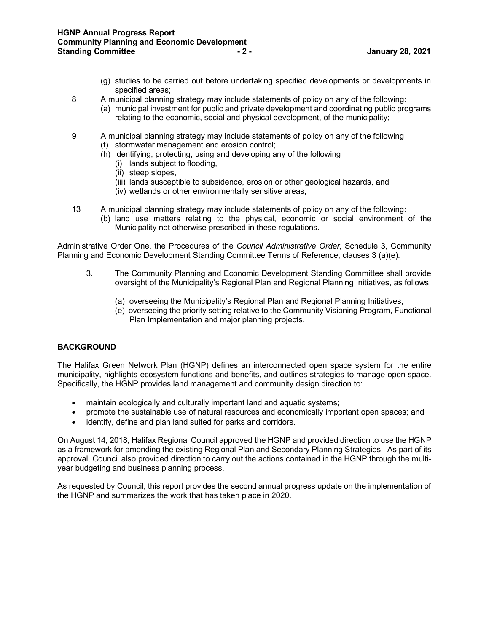- (g) studies to be carried out before undertaking specified developments or developments in specified areas;
- 8 A municipal planning strategy may include statements of policy on any of the following:
	- (a) municipal investment for public and private development and coordinating public programs relating to the economic, social and physical development, of the municipality;
- 9 A municipal planning strategy may include statements of policy on any of the following
	- (f) stormwater management and erosion control;
	- (h) identifying, protecting, using and developing any of the following
		- (i) lands subject to flooding,
		- (ii) steep slopes,
		- (iii) lands susceptible to subsidence, erosion or other geological hazards, and
		- (iv) wetlands or other environmentally sensitive areas;
- 13 A municipal planning strategy may include statements of policy on any of the following: (b) land use matters relating to the physical, economic or social environment of the Municipality not otherwise prescribed in these regulations.

Administrative Order One, the Procedures of the *Council Administrative Order*, Schedule 3, Community Planning and Economic Development Standing Committee Terms of Reference, clauses 3 (a)(e):

- 3. The Community Planning and Economic Development Standing Committee shall provide oversight of the Municipality's Regional Plan and Regional Planning Initiatives, as follows:
	- (a) overseeing the Municipality's Regional Plan and Regional Planning Initiatives;
	- (e) overseeing the priority setting relative to the Community Visioning Program, Functional Plan Implementation and major planning projects.

# **BACKGROUND**

The Halifax Green Network Plan (HGNP) defines an interconnected open space system for the entire municipality, highlights ecosystem functions and benefits, and outlines strategies to manage open space. Specifically, the HGNP provides land management and community design direction to:

- maintain ecologically and culturally important land and aquatic systems;
- promote the sustainable use of natural resources and economically important open spaces; and
- identify, define and plan land suited for parks and corridors.

On August 14, 2018, Halifax Regional Council approved the HGNP and provided direction to use the HGNP as a framework for amending the existing Regional Plan and Secondary Planning Strategies. As part of its approval, Council also provided direction to carry out the actions contained in the HGNP through the multiyear budgeting and business planning process.

As requested by Council, this report provides the second annual progress update on the implementation of the HGNP and summarizes the work that has taken place in 2020.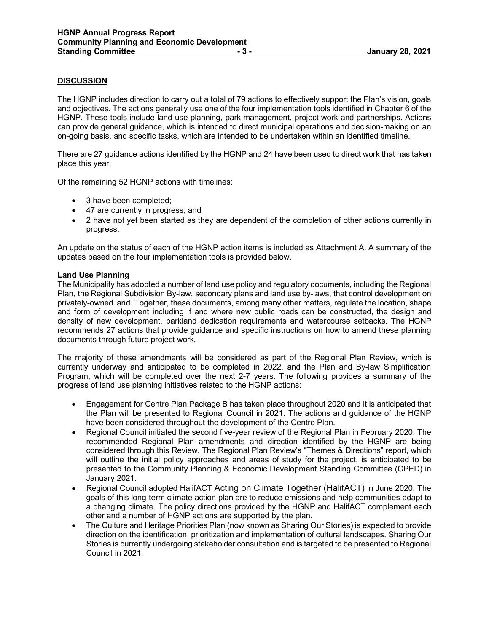# **DISCUSSION**

The HGNP includes direction to carry out a total of 79 actions to effectively support the Plan's vision, goals and objectives. The actions generally use one of the four implementation tools identified in Chapter 6 of the HGNP. These tools include land use planning, park management, project work and partnerships. Actions can provide general guidance, which is intended to direct municipal operations and decision-making on an on-going basis, and specific tasks, which are intended to be undertaken within an identified timeline.

There are 27 guidance actions identified by the HGNP and 24 have been used to direct work that has taken place this year.

Of the remaining 52 HGNP actions with timelines:

- 3 have been completed;
- 47 are currently in progress; and
- 2 have not yet been started as they are dependent of the completion of other actions currently in progress.

An update on the status of each of the HGNP action items is included as Attachment A. A summary of the updates based on the four implementation tools is provided below.

#### **Land Use Planning**

The Municipality has adopted a number of land use policy and regulatory documents, including the Regional Plan, the Regional Subdivision By-law, secondary plans and land use by-laws, that control development on privately-owned land. Together, these documents, among many other matters, regulate the location, shape and form of development including if and where new public roads can be constructed, the design and density of new development, parkland dedication requirements and watercourse setbacks. The HGNP recommends 27 actions that provide guidance and specific instructions on how to amend these planning documents through future project work.

The majority of these amendments will be considered as part of the Regional Plan Review, which is currently underway and anticipated to be completed in 2022, and the Plan and By-law Simplification Program, which will be completed over the next 2-7 years. The following provides a summary of the progress of land use planning initiatives related to the HGNP actions:

- Engagement for Centre Plan Package B has taken place throughout 2020 and it is anticipated that the Plan will be presented to Regional Council in 2021. The actions and guidance of the HGNP have been considered throughout the development of the Centre Plan.
- Regional Council initiated the second five-year review of the Regional Plan in February 2020. The recommended Regional Plan amendments and direction identified by the HGNP are being considered through this Review. The Regional Plan Review's "Themes & Directions" report, which will outline the initial policy approaches and areas of study for the project, is anticipated to be presented to the Community Planning & Economic Development Standing Committee (CPED) in January 2021.
- Regional Council adopted HalifACT Acting on Climate Together (HalifACT) in June 2020. The goals of this long-term climate action plan are to reduce emissions and help communities adapt to a changing climate. The policy directions provided by the HGNP and HalifACT complement each other and a number of HGNP actions are supported by the plan.
- The Culture and Heritage Priorities Plan (now known as Sharing Our Stories) is expected to provide direction on the identification, prioritization and implementation of cultural landscapes. Sharing Our Stories is currently undergoing stakeholder consultation and is targeted to be presented to Regional Council in 2021.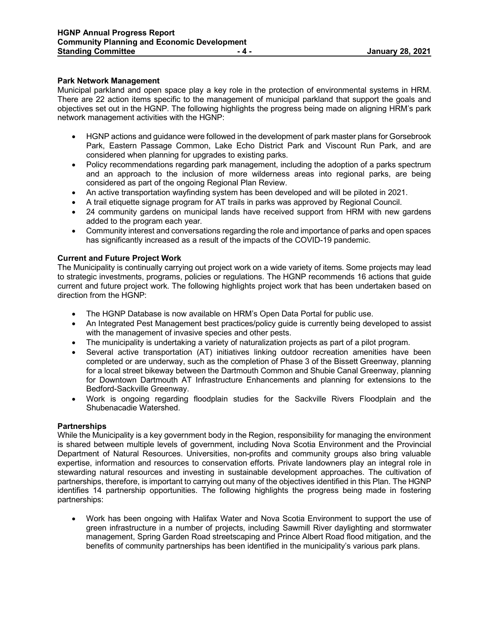#### **Park Network Management**

Municipal parkland and open space play a key role in the protection of environmental systems in HRM. There are 22 action items specific to the management of municipal parkland that support the goals and objectives set out in the HGNP. The following highlights the progress being made on aligning HRM's park network management activities with the HGNP:

- HGNP actions and guidance were followed in the development of park master plans for Gorsebrook Park, Eastern Passage Common, Lake Echo District Park and Viscount Run Park, and are considered when planning for upgrades to existing parks.
- Policy recommendations regarding park management, including the adoption of a parks spectrum and an approach to the inclusion of more wilderness areas into regional parks, are being considered as part of the ongoing Regional Plan Review.
- An active transportation wayfinding system has been developed and will be piloted in 2021.
- A trail etiquette signage program for AT trails in parks was approved by Regional Council.
- 24 community gardens on municipal lands have received support from HRM with new gardens added to the program each year.
- Community interest and conversations regarding the role and importance of parks and open spaces has significantly increased as a result of the impacts of the COVID-19 pandemic.

# **Current and Future Project Work**

The Municipality is continually carrying out project work on a wide variety of items. Some projects may lead to strategic investments, programs, policies or regulations. The HGNP recommends 16 actions that guide current and future project work. The following highlights project work that has been undertaken based on direction from the HGNP:

- The HGNP Database is now available on HRM's Open Data Portal for public use.
- An Integrated Pest Management best practices/policy guide is currently being developed to assist with the management of invasive species and other pests.
- The municipality is undertaking a variety of naturalization projects as part of a pilot program.
- Several active transportation (AT) initiatives linking outdoor recreation amenities have been completed or are underway, such as the completion of Phase 3 of the Bissett Greenway, planning for a local street bikeway between the Dartmouth Common and Shubie Canal Greenway, planning for Downtown Dartmouth AT Infrastructure Enhancements and planning for extensions to the Bedford-Sackville Greenway.
- Work is ongoing regarding floodplain studies for the Sackville Rivers Floodplain and the Shubenacadie Watershed.

#### **Partnerships**

While the Municipality is a key government body in the Region, responsibility for managing the environment is shared between multiple levels of government, including Nova Scotia Environment and the Provincial Department of Natural Resources. Universities, non-profits and community groups also bring valuable expertise, information and resources to conservation efforts. Private landowners play an integral role in stewarding natural resources and investing in sustainable development approaches. The cultivation of partnerships, therefore, is important to carrying out many of the objectives identified in this Plan. The HGNP identifies 14 partnership opportunities. The following highlights the progress being made in fostering partnerships:

• Work has been ongoing with Halifax Water and Nova Scotia Environment to support the use of green infrastructure in a number of projects, including Sawmill River daylighting and stormwater management, Spring Garden Road streetscaping and Prince Albert Road flood mitigation, and the benefits of community partnerships has been identified in the municipality's various park plans.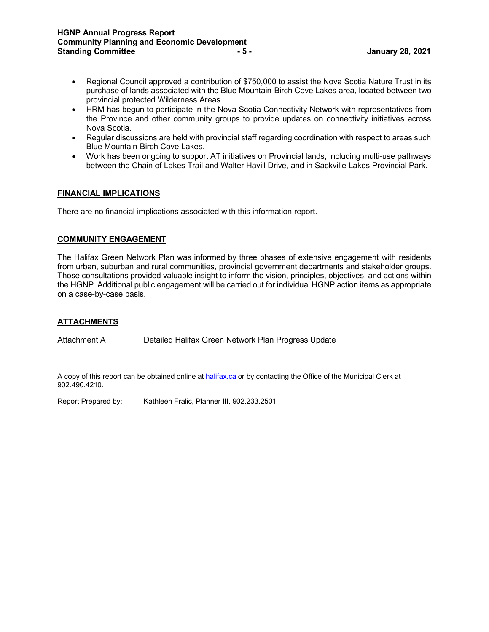- Regional Council approved a contribution of \$750,000 to assist the Nova Scotia Nature Trust in its purchase of lands associated with the Blue Mountain-Birch Cove Lakes area, located between two provincial protected Wilderness Areas.
- HRM has begun to participate in the Nova Scotia Connectivity Network with representatives from the Province and other community groups to provide updates on connectivity initiatives across Nova Scotia.
- Regular discussions are held with provincial staff regarding coordination with respect to areas such Blue Mountain-Birch Cove Lakes.
- Work has been ongoing to support AT initiatives on Provincial lands, including multi-use pathways between the Chain of Lakes Trail and Walter Havill Drive, and in Sackville Lakes Provincial Park.

# **FINANCIAL IMPLICATIONS**

There are no financial implications associated with this information report.

# **COMMUNITY ENGAGEMENT**

The Halifax Green Network Plan was informed by three phases of extensive engagement with residents from urban, suburban and rural communities, provincial government departments and stakeholder groups. Those consultations provided valuable insight to inform the vision, principles, objectives, and actions within the HGNP. Additional public engagement will be carried out for individual HGNP action items as appropriate on a case-by-case basis.

# **ATTACHMENTS**

Attachment A Detailed Halifax Green Network Plan Progress Update

A copy of this report can be obtained online a[t halifax.ca](http://www.halifax.ca/) or by contacting the Office of the Municipal Clerk at 902.490.4210.

Report Prepared by: Kathleen Fralic, Planner III, 902.233.2501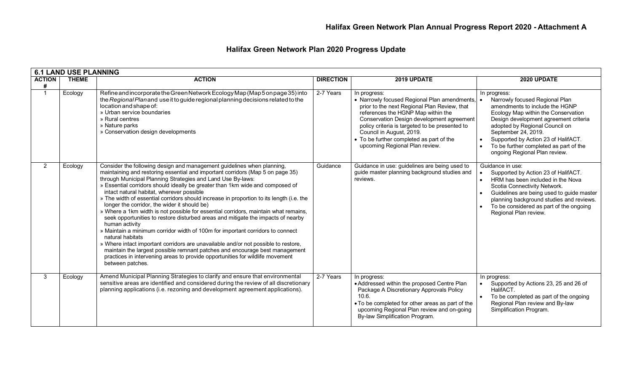# **Halifax Green Network Plan 2020 Progress Update**

|                    | <b>6.1 LAND USE PLANNING</b> |                                                                                                                                                                                                                                                                                                                                                                                                                                                                                                                                                                                                                                                                                                                                                                                                                                                                                                                                                                                                                                                                                |                  |                                                                                                                                                                                                                                                                                                                                                             |                                                                                                                                                                                                                                                                                                                                             |
|--------------------|------------------------------|--------------------------------------------------------------------------------------------------------------------------------------------------------------------------------------------------------------------------------------------------------------------------------------------------------------------------------------------------------------------------------------------------------------------------------------------------------------------------------------------------------------------------------------------------------------------------------------------------------------------------------------------------------------------------------------------------------------------------------------------------------------------------------------------------------------------------------------------------------------------------------------------------------------------------------------------------------------------------------------------------------------------------------------------------------------------------------|------------------|-------------------------------------------------------------------------------------------------------------------------------------------------------------------------------------------------------------------------------------------------------------------------------------------------------------------------------------------------------------|---------------------------------------------------------------------------------------------------------------------------------------------------------------------------------------------------------------------------------------------------------------------------------------------------------------------------------------------|
| <b>ACTION</b><br># | <b>THEME</b>                 | <b>ACTION</b>                                                                                                                                                                                                                                                                                                                                                                                                                                                                                                                                                                                                                                                                                                                                                                                                                                                                                                                                                                                                                                                                  | <b>DIRECTION</b> | 2019 UPDATE                                                                                                                                                                                                                                                                                                                                                 | 2020 UPDATE                                                                                                                                                                                                                                                                                                                                 |
| $\mathbf{1}$       | Ecology                      | Refine and incorporate the Green Network Ecology Map (Map 5 on page 35) into<br>the Regional Plan and use it to guide regional planning decisions related to the<br>location and shape of:<br>» Urban service boundaries<br>» Rural centres<br>» Nature parks<br>» Conservation design developments                                                                                                                                                                                                                                                                                                                                                                                                                                                                                                                                                                                                                                                                                                                                                                            | 2-7 Years        | In progress:<br>• Narrowly focused Regional Plan amendments,<br>prior to the next Regional Plan Review, that<br>references the HGNP Map within the<br>Conservation Design development agreement<br>policy criteria is targeted to be presented to<br>Council in August, 2019.<br>• To be further completed as part of the<br>upcoming Regional Plan review. | In progress:<br>Narrowly focused Regional Plan<br>amendments to include the HGNP<br>Ecology Map within the Conservation<br>Design development agreement criteria<br>adopted by Regional Council on<br>September 24, 2019.<br>Supported by Action 23 of HalifACT.<br>To be further completed as part of the<br>ongoing Regional Plan review. |
| 2                  | Ecology                      | Consider the following design and management guidelines when planning,<br>maintaining and restoring essential and important corridors (Map 5 on page 35)<br>through Municipal Planning Strategies and Land Use By-laws:<br>» Essential corridors should ideally be greater than 1km wide and composed of<br>intact natural habitat, wherever possible<br>» The width of essential corridors should increase in proportion to its length (i.e. the<br>longer the corridor, the wider it should be)<br>» Where a 1km width is not possible for essential corridors, maintain what remains,<br>seek opportunities to restore disturbed areas and mitigate the impacts of nearby<br>human activity<br>» Maintain a minimum corridor width of 100m for important corridors to connect<br>natural habitats<br>» Where intact important corridors are unavailable and/or not possible to restore,<br>maintain the largest possible remnant patches and encourage best management<br>practices in intervening areas to provide opportunities for wildlife movement<br>between patches. | Guidance         | Guidance in use: guidelines are being used to<br>guide master planning background studies and<br>reviews.                                                                                                                                                                                                                                                   | Guidance in use:<br>Supported by Action 23 of HalifACT.<br>HRM has been included in the Nova<br>Scotia Connectivity Network.<br>Guidelines are being used to guide master<br>planning background studies and reviews.<br>To be considered as part of the ongoing<br>Regional Plan review.                                                   |
| 3                  | Ecology                      | Amend Municipal Planning Strategies to clarify and ensure that environmental<br>sensitive areas are identified and considered during the review of all discretionary<br>planning applications (i.e. rezoning and development agreement applications).                                                                                                                                                                                                                                                                                                                                                                                                                                                                                                                                                                                                                                                                                                                                                                                                                          | 2-7 Years        | In progress:<br>• Addressed within the proposed Centre Plan<br>Package A Discretionary Approvals Policy<br>10.6.<br>• To be completed for other areas as part of the<br>upcoming Regional Plan review and on-going<br>By-law Simplification Program.                                                                                                        | In progress:<br>Supported by Actions 23, 25 and 26 of<br>HalifACT.<br>To be completed as part of the ongoing<br>Regional Plan review and By-law<br>Simplification Program.                                                                                                                                                                  |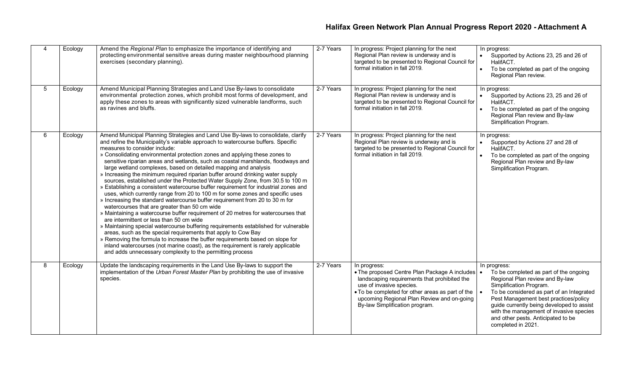| 4 | Ecology | Amend the Regional Plan to emphasize the importance of identifying and<br>protecting environmental sensitive areas during master neighbourhood planning<br>exercises (secondary planning).                                                                                                                                                                                                                                                                                                                                                                                                                                                                                                                                                                                                                                                                                                                                                                                                                                                                                                                                                                                                                                                                                                                                                                                                                                                        | 2-7 Years | In progress: Project planning for the next<br>Regional Plan review is underway and is<br>targeted to be presented to Regional Council for<br>formal initiation in fall 2019.                                                                                                      | In progress:<br>Supported by Actions 23, 25 and 26 of<br>HalifACT.<br>To be completed as part of the ongoing<br>$\bullet$<br>Regional Plan review.                                                                                                                                                                                                             |
|---|---------|---------------------------------------------------------------------------------------------------------------------------------------------------------------------------------------------------------------------------------------------------------------------------------------------------------------------------------------------------------------------------------------------------------------------------------------------------------------------------------------------------------------------------------------------------------------------------------------------------------------------------------------------------------------------------------------------------------------------------------------------------------------------------------------------------------------------------------------------------------------------------------------------------------------------------------------------------------------------------------------------------------------------------------------------------------------------------------------------------------------------------------------------------------------------------------------------------------------------------------------------------------------------------------------------------------------------------------------------------------------------------------------------------------------------------------------------------|-----------|-----------------------------------------------------------------------------------------------------------------------------------------------------------------------------------------------------------------------------------------------------------------------------------|----------------------------------------------------------------------------------------------------------------------------------------------------------------------------------------------------------------------------------------------------------------------------------------------------------------------------------------------------------------|
| 5 | Ecology | Amend Municipal Planning Strategies and Land Use By-laws to consolidate<br>environmental protection zones, which prohibit most forms of development, and<br>apply these zones to areas with significantly sized vulnerable landforms, such<br>as ravines and bluffs.                                                                                                                                                                                                                                                                                                                                                                                                                                                                                                                                                                                                                                                                                                                                                                                                                                                                                                                                                                                                                                                                                                                                                                              | 2-7 Years | In progress: Project planning for the next<br>Regional Plan review is underway and is<br>targeted to be presented to Regional Council for<br>formal initiation in fall 2019.                                                                                                      | In progress:<br>Supported by Actions 23, 25 and 26 of<br>$\bullet$<br>HalifACT.<br>To be completed as part of the ongoing<br>Regional Plan review and By-law<br>Simplification Program.                                                                                                                                                                        |
| 6 | Ecology | Amend Municipal Planning Strategies and Land Use By-laws to consolidate, clarify<br>and refine the Municipality's variable approach to watercourse buffers. Specific<br>measures to consider include:<br>» Consolidating environmental protection zones and applying these zones to<br>sensitive riparian areas and wetlands, such as coastal marshlands, floodways and<br>large wetland complexes, based on detailed mapping and analysis<br>» Increasing the minimum required riparian buffer around drinking water supply<br>sources, established under the Protected Water Supply Zone, from 30.5 to 100 m<br>» Establishing a consistent watercourse buffer requirement for industrial zones and<br>uses, which currently range from 20 to 100 m for some zones and specific uses<br>» Increasing the standard watercourse buffer requirement from 20 to 30 m for<br>watercourses that are greater than 50 cm wide<br>» Maintaining a watercourse buffer requirement of 20 metres for watercourses that<br>are intermittent or less than 50 cm wide<br>» Maintaining special watercourse buffering requirements established for vulnerable<br>areas, such as the special requirements that apply to Cow Bay<br>» Removing the formula to increase the buffer requirements based on slope for<br>inland watercourses (not marine coast), as the requirement is rarely applicable<br>and adds unnecessary complexity to the permitting process | 2-7 Years | In progress: Project planning for the next<br>Regional Plan review is underway and is<br>targeted to be presented to Regional Council for<br>formal initiation in fall 2019.                                                                                                      | In progress:<br>Supported by Actions 27 and 28 of<br>$\bullet$<br>HalifACT.<br>To be completed as part of the ongoing<br>Regional Plan review and By-law<br>Simplification Program.                                                                                                                                                                            |
| 8 | Ecology | Update the landscaping requirements in the Land Use By-laws to support the<br>implementation of the Urban Forest Master Plan by prohibiting the use of invasive<br>species.                                                                                                                                                                                                                                                                                                                                                                                                                                                                                                                                                                                                                                                                                                                                                                                                                                                                                                                                                                                                                                                                                                                                                                                                                                                                       | 2-7 Years | In progress:<br>• The proposed Centre Plan Package A includes   •<br>landscaping requirements that prohibited the<br>use of invasive species.<br>• To be completed for other areas as part of the<br>upcoming Regional Plan Review and on-going<br>By-law Simplification program. | In progress:<br>To be completed as part of the ongoing<br>Regional Plan review and By-law<br>Simplification Program.<br>To be considered as part of an Integrated<br>Pest Management best practices/policy<br>guide currently being developed to assist<br>with the management of invasive species<br>and other pests. Anticipated to be<br>completed in 2021. |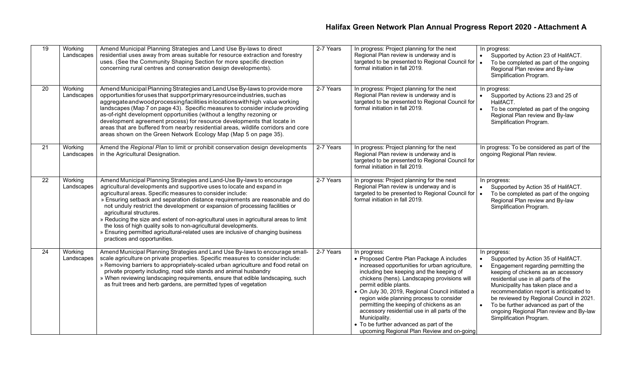| 19 | Working<br>Landscapes | Amend Municipal Planning Strategies and Land Use By-laws to direct<br>residential uses away from areas suitable for resource extraction and forestry<br>uses. (See the Community Shaping Section for more specific direction<br>concerning rural centres and conservation design developments).                                                                                                                                                                                                                                                                                                                                                                                              | 2-7 Years | In progress: Project planning for the next<br>Regional Plan review is underway and is<br>targeted to be presented to Regional Council for<br>formal initiation in fall 2019.                                                                                                                                                                                                                                                                                                                                                            | In progress:<br>Supported by Action 23 of HalifACT.<br>$\bullet$<br>To be completed as part of the ongoing<br>Regional Plan review and By-law<br>Simplification Program.                                                                                                                                                                                                                                             |
|----|-----------------------|----------------------------------------------------------------------------------------------------------------------------------------------------------------------------------------------------------------------------------------------------------------------------------------------------------------------------------------------------------------------------------------------------------------------------------------------------------------------------------------------------------------------------------------------------------------------------------------------------------------------------------------------------------------------------------------------|-----------|-----------------------------------------------------------------------------------------------------------------------------------------------------------------------------------------------------------------------------------------------------------------------------------------------------------------------------------------------------------------------------------------------------------------------------------------------------------------------------------------------------------------------------------------|----------------------------------------------------------------------------------------------------------------------------------------------------------------------------------------------------------------------------------------------------------------------------------------------------------------------------------------------------------------------------------------------------------------------|
| 20 | Working<br>Landscapes | Amend Municipal Planning Strategies and Land Use By-laws to provide more<br>opportunities for uses that support primary resource industries, such as<br>aggregate and wood processing facilities in locations with high value working<br>landscapes (Map 7 on page 43). Specific measures to consider include providing<br>as-of-right development opportunities (without a lengthy rezoning or<br>development agreement process) for resource developments that locate in<br>areas that are buffered from nearby residential areas, wildlife corridors and core<br>areas shown on the Green Network Ecology Map (Map 5 on page 35).                                                         | 2-7 Years | In progress: Project planning for the next<br>Regional Plan review is underway and is<br>targeted to be presented to Regional Council for<br>formal initiation in fall 2019.                                                                                                                                                                                                                                                                                                                                                            | In progress:<br>Supported by Actions 23 and 25 of<br>$\bullet$<br>HalifACT.<br>To be completed as part of the ongoing<br>Regional Plan review and By-law<br>Simplification Program.                                                                                                                                                                                                                                  |
| 21 | Working<br>Landscapes | Amend the Regional Plan to limit or prohibit conservation design developments<br>in the Agricultural Designation.                                                                                                                                                                                                                                                                                                                                                                                                                                                                                                                                                                            | 2-7 Years | In progress: Project planning for the next<br>Regional Plan review is underway and is<br>targeted to be presented to Regional Council for<br>formal initiation in fall 2019.                                                                                                                                                                                                                                                                                                                                                            | In progress: To be considered as part of the<br>ongoing Regional Plan review.                                                                                                                                                                                                                                                                                                                                        |
| 22 | Working<br>Landscapes | Amend Municipal Planning Strategies and Land-Use By-laws to encourage<br>agricultural developments and supportive uses to locate and expand in<br>agricultural areas. Specific measures to consider include:<br>» Ensuring setback and separation distance requirements are reasonable and do<br>not unduly restrict the development or expansion of processing facilities or<br>agricultural structures.<br>» Reducing the size and extent of non-agricultural uses in agricultural areas to limit<br>the loss of high quality soils to non-agricultural developments.<br>» Ensuring permitted agricultural-related uses are inclusive of changing business<br>practices and opportunities. | 2-7 Years | In progress: Project planning for the next<br>Regional Plan review is underway and is<br>targeted to be presented to Regional Council for<br>formal initiation in fall 2019.                                                                                                                                                                                                                                                                                                                                                            | In progress:<br>Supported by Action 35 of HalifACT.<br>$\bullet$<br>To be completed as part of the ongoing<br>Regional Plan review and By-law<br>Simplification Program.                                                                                                                                                                                                                                             |
| 24 | Working<br>Landscapes | Amend Municipal Planning Strategies and Land Use By-laws to encourage small-<br>scale agriculture on private properties. Specific measures to consider include:<br>» Removing barriers to appropriately-scaled urban agriculture and food retail on<br>private property including, road side stands and animal husbandry<br>» When reviewing landscaping requirements, ensure that edible landscaping, such<br>as fruit trees and herb gardens, are permitted types of vegetation                                                                                                                                                                                                            | 2-7 Years | In progress:<br>• Proposed Centre Plan Package A includes<br>increased opportunities for urban agriculture,<br>including bee keeping and the keeping of<br>chickens (hens). Landscaping provisions will<br>permit edible plants.<br>• On July 30, 2019, Regional Council initiated a<br>region wide planning process to consider<br>permitting the keeping of chickens as an<br>accessory residential use in all parts of the<br>Municipality.<br>• To be further advanced as part of the<br>upcoming Regional Plan Review and on-going | In progress:<br>Supported by Action 35 of HalifACT.<br>Engagement regarding permitting the<br>keeping of chickens as an accessory<br>residential use in all parts of the<br>Municipality has taken place and a<br>recommendation report is anticipated to<br>be reviewed by Regional Council in 2021.<br>To be further advanced as part of the<br>ongoing Regional Plan review and By-law<br>Simplification Program. |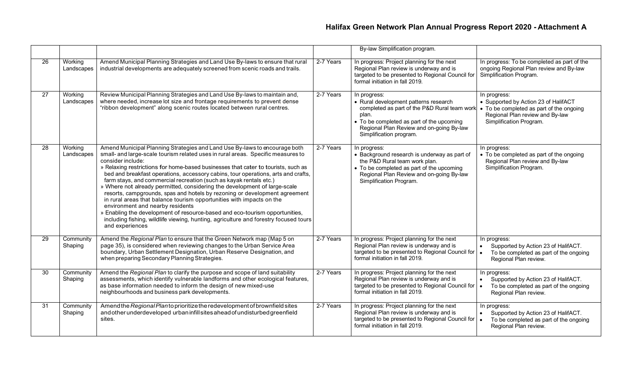|                 |                       |                                                                                                                                                                                                                                                                                                                                                                                                                                                                                                                                                                                                                                                                                                                                                                                                                                                                                                       |           | By-law Simplification program.                                                                                                                                                                                                     |                                                                                                                                                                |
|-----------------|-----------------------|-------------------------------------------------------------------------------------------------------------------------------------------------------------------------------------------------------------------------------------------------------------------------------------------------------------------------------------------------------------------------------------------------------------------------------------------------------------------------------------------------------------------------------------------------------------------------------------------------------------------------------------------------------------------------------------------------------------------------------------------------------------------------------------------------------------------------------------------------------------------------------------------------------|-----------|------------------------------------------------------------------------------------------------------------------------------------------------------------------------------------------------------------------------------------|----------------------------------------------------------------------------------------------------------------------------------------------------------------|
| 26              | Working<br>Landscapes | Amend Municipal Planning Strategies and Land Use By-laws to ensure that rural<br>industrial developments are adequately screened from scenic roads and trails.                                                                                                                                                                                                                                                                                                                                                                                                                                                                                                                                                                                                                                                                                                                                        | 2-7 Years | In progress: Project planning for the next<br>Regional Plan review is underway and is<br>targeted to be presented to Regional Council for<br>formal initiation in fall 2019.                                                       | In progress: To be completed as part of the<br>ongoing Regional Plan review and By-law<br>Simplification Program.                                              |
| 27              | Working<br>Landscapes | Review Municipal Planning Strategies and Land Use By-laws to maintain and,<br>where needed, increase lot size and frontage requirements to prevent dense<br>"ribbon development" along scenic routes located between rural centres.                                                                                                                                                                                                                                                                                                                                                                                                                                                                                                                                                                                                                                                                   | 2-7 Years | In progress:<br>• Rural development patterns research<br>completed as part of the P&D Rural team work<br>plan.<br>• To be completed as part of the upcoming<br>Regional Plan Review and on-going By-law<br>Simplification program. | In progress:<br>• Supported by Action 23 of HalifACT<br>• To be completed as part of the ongoing<br>Regional Plan review and By-law<br>Simplification Program. |
| 28              | Working<br>Landscapes | Amend Municipal Planning Strategies and Land Use By-laws to encourage both<br>small- and large-scale tourism related uses in rural areas. Specific measures to<br>consider include:<br>» Relaxing restrictions for home-based businesses that cater to tourists, such as<br>bed and breakfast operations, accessory cabins, tour operations, arts and crafts,<br>farm stays, and commercial recreation (such as kayak rentals etc.)<br>» Where not already permitted, considering the development of large-scale<br>resorts, campgrounds, spas and hotels by rezoning or development agreement<br>in rural areas that balance tourism opportunities with impacts on the<br>environment and nearby residents<br>» Enabling the development of resource-based and eco-tourism opportunities,<br>including fishing, wildlife viewing, hunting, agriculture and forestry focused tours<br>and experiences | 2-7 Years | In progress:<br>• Background research is underway as part of<br>the P&D Rural team work plan.<br>• To be completed as part of the upcoming<br>Regional Plan Review and on-going By-law<br>Simplification Program.                  | In progress:<br>• To be completed as part of the ongoing<br>Regional Plan review and By-law<br>Simplification Program.                                         |
| 29              | Community<br>Shaping  | Amend the Regional Plan to ensure that the Green Network map (Map 5 on<br>page 35), is considered when reviewing changes to the Urban Service Area<br>boundary, Urban Settlement Designation, Urban Reserve Designation, and<br>when preparing Secondary Planning Strategies.                                                                                                                                                                                                                                                                                                                                                                                                                                                                                                                                                                                                                         | 2-7 Years | In progress: Project planning for the next<br>Regional Plan review is underway and is<br>targeted to be presented to Regional Council for<br>formal initiation in fall 2019.                                                       | In progress:<br>Supported by Action 23 of HalifACT.<br>$\bullet$<br>To be completed as part of the ongoing<br>Regional Plan review.                            |
| $\overline{30}$ | Community<br>Shaping  | Amend the Regional Plan to clarify the purpose and scope of land suitability<br>assessments, which identify vulnerable landforms and other ecological features,<br>as base information needed to inform the design of new mixed-use<br>neighbourhoods and business park developments.                                                                                                                                                                                                                                                                                                                                                                                                                                                                                                                                                                                                                 | 2-7 Years | In progress: Project planning for the next<br>Regional Plan review is underway and is<br>targeted to be presented to Regional Council for<br>formal initiation in fall 2019.                                                       | In progress:<br>Supported by Action 23 of HalifACT.<br>$\bullet$<br>To be completed as part of the ongoing<br>$\bullet$<br>Regional Plan review.               |
| 31              | Community<br>Shaping  | Amend the Regional Planto prioritize the redevelopment of brownfield sites<br>and other underdeveloped urban infill sites ahead of undisturbed greenfield<br>sites.                                                                                                                                                                                                                                                                                                                                                                                                                                                                                                                                                                                                                                                                                                                                   | 2-7 Years | In progress: Project planning for the next<br>Regional Plan review is underway and is<br>targeted to be presented to Regional Council for<br>formal initiation in fall 2019.                                                       | In progress:<br>Supported by Action 23 of HalifACT.<br>$\bullet$<br>$\bullet$<br>To be completed as part of the ongoing<br>Regional Plan review.               |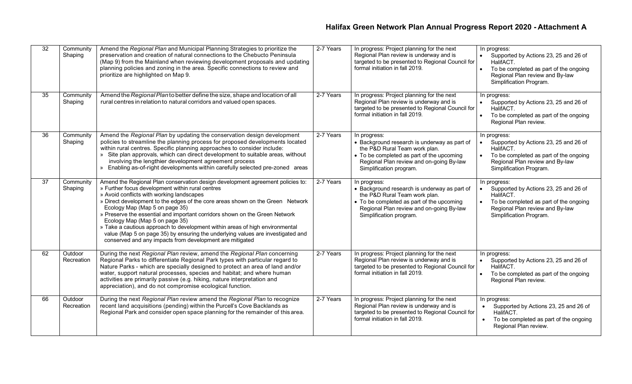| 32              | Community<br>Shaping  | Amend the Regional Plan and Municipal Planning Strategies to prioritize the<br>preservation and creation of natural connections to the Chebucto Peninsula<br>(Map 9) from the Mainland when reviewing development proposals and updating<br>planning policies and zoning in the area. Specific connections to review and<br>prioritize are highlighted on Map 9.                                                                                                                                                                                                                                                                                    | 2-7 Years | In progress: Project planning for the next<br>Regional Plan review is underway and is<br>targeted to be presented to Regional Council for<br>formal initiation in fall 2019.                                      | In progress:<br>Supported by Actions 23, 25 and 26 of<br>HalifACT.<br>To be completed as part of the ongoing<br>Regional Plan review and By-law<br>Simplification Program.              |
|-----------------|-----------------------|-----------------------------------------------------------------------------------------------------------------------------------------------------------------------------------------------------------------------------------------------------------------------------------------------------------------------------------------------------------------------------------------------------------------------------------------------------------------------------------------------------------------------------------------------------------------------------------------------------------------------------------------------------|-----------|-------------------------------------------------------------------------------------------------------------------------------------------------------------------------------------------------------------------|-----------------------------------------------------------------------------------------------------------------------------------------------------------------------------------------|
| $\overline{35}$ | Community<br>Shaping  | Amend the Regional Plan to better define the size, shape and location of all<br>rural centres in relation to natural corridors and valued open spaces.                                                                                                                                                                                                                                                                                                                                                                                                                                                                                              | 2-7 Years | In progress: Project planning for the next<br>Regional Plan review is underway and is<br>targeted to be presented to Regional Council for<br>formal initiation in fall 2019.                                      | In progress:<br>Supported by Actions 23, 25 and 26 of<br>HalifACT.<br>To be completed as part of the ongoing<br>Regional Plan review.                                                   |
| 36              | Community<br>Shaping  | Amend the Regional Plan by updating the conservation design development<br>policies to streamline the planning process for proposed developments located<br>within rural centres. Specific planning approaches to consider include:<br>» Site plan approvals, which can direct development to suitable areas, without<br>involving the lengthier development agreement process<br>» Enabling as-of-right developments within carefully selected pre-zoned areas                                                                                                                                                                                     | 2-7 Years | In progress:<br>• Background research is underway as part of<br>the P&D Rural Team work plan.<br>• To be completed as part of the upcoming<br>Regional Plan review and on-going By-law<br>Simplification program. | In progress:<br>$\bullet$<br>Supported by Actions 23, 25 and 26 of<br>HalifACT.<br>To be completed as part of the ongoing<br>Regional Plan review and By-law<br>Simplification Program. |
| 37              | Community<br>Shaping  | Amend the Regional Plan conservation design development agreement policies to:<br>» Further focus development within rural centres<br>» Avoid conflicts with working landscapes<br>» Direct development to the edges of the core areas shown on the Green Network<br>Ecology Map (Map 5 on page 35)<br>» Preserve the essential and important corridors shown on the Green Network<br>Ecology Map (Map 5 on page 35)<br>» Take a cautious approach to development within areas of high environmental<br>value (Map 5 on page 35) by ensuring the underlying values are investigated and<br>conserved and any impacts from development are mitigated | 2-7 Years | In progress:<br>• Background research is underway as part of<br>the P&D Rural Team work plan.<br>• To be completed as part of the upcoming<br>Regional Plan review and on-going By-law<br>Simplification program. | In progress:<br>Supported by Actions 23, 25 and 26 of<br>$\bullet$<br>HalifACT.<br>To be completed as part of the ongoing<br>Regional Plan review and By-law<br>Simplification Program. |
| 62              | Outdoor<br>Recreation | During the next Regional Plan review, amend the Regional Plan concerning<br>Regional Parks to differentiate Regional Park types with particular regard to<br>Nature Parks - which are specially designed to protect an area of land and/or<br>water, support natural processes, species and habitat; and where human<br>activities are primarily passive (e.g. hiking, nature interpretation and<br>appreciation), and do not compromise ecological function.                                                                                                                                                                                       | 2-7 Years | In progress: Project planning for the next<br>Regional Plan review is underway and is<br>targeted to be presented to Regional Council for<br>formal initiation in fall 2019.                                      | In progress:<br>Supported by Actions 23, 25 and 26 of<br>HalifACT.<br>To be completed as part of the ongoing<br>Regional Plan review.                                                   |
| 66              | Outdoor<br>Recreation | During the next Regional Plan review amend the Regional Plan to recognize<br>recent land acquisitions (pending) within the Purcell's Cove Backlands as<br>Regional Park and consider open space planning for the remainder of this area.                                                                                                                                                                                                                                                                                                                                                                                                            | 2-7 Years | In progress: Project planning for the next<br>Regional Plan review is underway and is<br>targeted to be presented to Regional Council for<br>formal initiation in fall 2019.                                      | In progress:<br>Supported by Actions 23, 25 and 26 of<br>$\bullet$<br>HalifACT.<br>To be completed as part of the ongoing<br>Regional Plan review.                                      |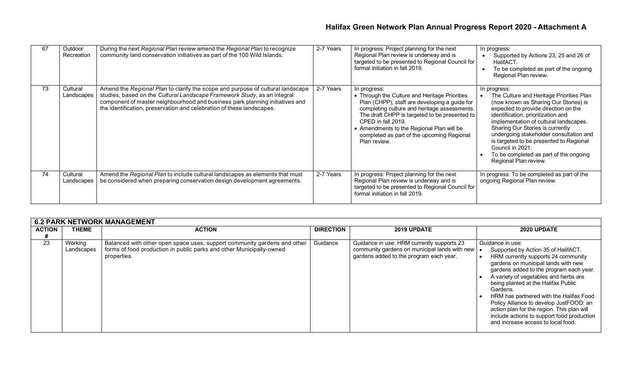| 67 | Outdoor<br>Recreation  | During the next Regional Plan review amend the Regional Plan to recognize<br>community land conservation initiatives as part of the 100 Wild Islands.                                                                                                                                                               | 2-7 Years | In progress: Project planning for the next<br>Regional Plan review is underway and is<br>targeted to be presented to Regional Council for<br>formal initiation in fall 2019.                                                                                                                                                                     | In progress:<br>Supported by Actions 23, 25 and 26 of<br>HalifACT.<br>To be completed as part of the ongoing<br>Regional Plan review.                                                                                                                                                                                                                                                                                                      |
|----|------------------------|---------------------------------------------------------------------------------------------------------------------------------------------------------------------------------------------------------------------------------------------------------------------------------------------------------------------|-----------|--------------------------------------------------------------------------------------------------------------------------------------------------------------------------------------------------------------------------------------------------------------------------------------------------------------------------------------------------|--------------------------------------------------------------------------------------------------------------------------------------------------------------------------------------------------------------------------------------------------------------------------------------------------------------------------------------------------------------------------------------------------------------------------------------------|
| 73 | Cultural<br>Landscapes | Amend the Regional Plan to clarify the scope and purpose of cultural landscape<br>studies, based on the Cultural Landscape Framework Study, as an integral<br>component of master neighbourhood and business park planning initiatives and<br>the identification, preservation and celebration of these landscapes. | 2-7 Years | In progress:<br>• Through the Culture and Heritage Priorities<br>Plan (CHPP), staff are developing a guide for<br>completing culture and heritage assessments.<br>The draft CHPP is targeted to be presented to<br>CPED in fall 2019.<br>• Amendments to the Regional Plan will be<br>completed as part of the upcoming Regional<br>Plan review. | In progress:<br>The Culture and Heritage Priorities Plan<br>(now known as Sharing Our Stories) is<br>expected to provide direction on the<br>identification, prioritization and<br>implementation of cultural landscapes.<br>Sharing Our Stories is currently<br>undergoing stakeholder consultation and<br>is targeted to be presented to Regional<br>Council in 2021.<br>To be completed as part of the ongoing<br>Regional Plan review. |
| 74 | Cultural<br>Landscapes | Amend the Regional Plan to include cultural landscapes as elements that must<br>be considered when preparing conservation design development agreements.                                                                                                                                                            | 2-7 Years | In progress: Project planning for the next<br>Regional Plan review is underway and is<br>targeted to be presented to Regional Council for<br>formal initiation in fall 2019.                                                                                                                                                                     | In progress: To be completed as part of the<br>ongoing Regional Plan review.                                                                                                                                                                                                                                                                                                                                                               |

|               | <b>6.2 PARK NETWORK MANAGEMENT</b> |                                                                                                                                                                 |                  |                                                                                                                                        |                                                                                                                                                                                                                                                                                                                                                                                                                                                                                                      |  |  |  |  |
|---------------|------------------------------------|-----------------------------------------------------------------------------------------------------------------------------------------------------------------|------------------|----------------------------------------------------------------------------------------------------------------------------------------|------------------------------------------------------------------------------------------------------------------------------------------------------------------------------------------------------------------------------------------------------------------------------------------------------------------------------------------------------------------------------------------------------------------------------------------------------------------------------------------------------|--|--|--|--|
| <b>ACTION</b> | <b>THEME</b>                       | <b>ACTION</b>                                                                                                                                                   | <b>DIRECTION</b> | 2019 UPDATE                                                                                                                            | 2020 UPDATE                                                                                                                                                                                                                                                                                                                                                                                                                                                                                          |  |  |  |  |
|               |                                    |                                                                                                                                                                 |                  |                                                                                                                                        |                                                                                                                                                                                                                                                                                                                                                                                                                                                                                                      |  |  |  |  |
| 23            | Working<br>Landscapes              | Balanced with other open space uses, support community gardens and other<br>forms of food production in public parks and other Municipally-owned<br>properties. | Guidance         | Guidance in use: HRM currently supports 23<br>community gardens on municipal lands with new<br>gardens added to the program each year. | Guidance in use:<br>Supported by Action 35 of HalifACT.<br>HRM currently supports 24 community<br>gardens on municipal lands with new<br>gardens added to the program each year.<br>A variety of vegetables and herbs are<br>being planted at the Halifax Public<br>Gardens.<br>HRM has partnered with the Halifax Food<br>Policy Alliance to develop JustFOOD: an<br>action plan for the region. This plan will<br>include actions to support food production<br>and increase access to local food. |  |  |  |  |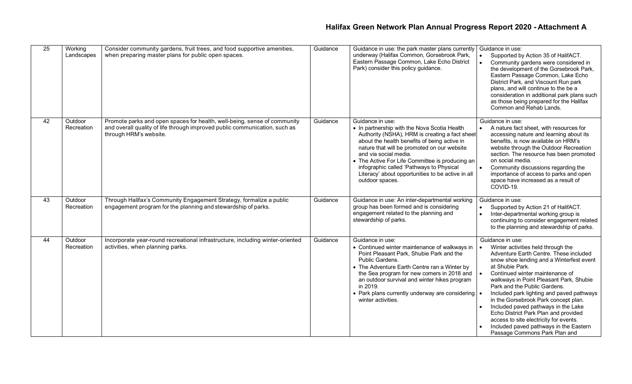| $\overline{25}$ | Working<br>Landscapes | Consider community gardens, fruit trees, and food supportive amenities,<br>when preparing master plans for public open spaces.                                                   | Guidance | Guidance in use: the park master plans currently<br>underway (Halifax Common, Gorsebrook Park,<br>Eastern Passage Common, Lake Echo District<br>Park) consider this policy guidance.                                                                                                                                                                                                                              | Guidance in use:<br>Supported by Action 35 of HalifACT.<br>Community gardens were considered in<br>the development of the Gorsebrook Park,<br>Eastern Passage Common, Lake Echo<br>District Park, and Viscount Run park<br>plans, and will continue to the be a<br>consideration in additional park plans such<br>as those being prepared for the Halifax<br>Common and Rehab Lands.                                                                                                                                                                                   |
|-----------------|-----------------------|----------------------------------------------------------------------------------------------------------------------------------------------------------------------------------|----------|-------------------------------------------------------------------------------------------------------------------------------------------------------------------------------------------------------------------------------------------------------------------------------------------------------------------------------------------------------------------------------------------------------------------|------------------------------------------------------------------------------------------------------------------------------------------------------------------------------------------------------------------------------------------------------------------------------------------------------------------------------------------------------------------------------------------------------------------------------------------------------------------------------------------------------------------------------------------------------------------------|
| 42              | Outdoor<br>Recreation | Promote parks and open spaces for health, well-being, sense of community<br>and overall quality of life through improved public communication, such as<br>through HRM's website. | Guidance | Guidance in use:<br>• In partnership with the Nova Scotia Health<br>Authority (NSHA), HRM is creating a fact sheet<br>about the health benefits of being active in<br>nature that will be promoted on our website<br>and via social media.<br>• The Active For Life Committee is producing an<br>infographic called 'Pathways to Physical<br>Literacy' about opportunities to be active in all<br>outdoor spaces. | Guidance in use:<br>A nature fact sheet, with resources for<br>accessing nature and learning about its<br>benefits, is now available on HRM's<br>website through the Outdoor Recreation<br>section. The resource has been promoted<br>on social media.<br>Community discussions regarding the<br>importance of access to parks and open<br>space have increased as a result of<br>COVID-19.                                                                                                                                                                            |
| 43              | Outdoor<br>Recreation | Through Halifax's Community Engagement Strategy, formalize a public<br>engagement program for the planning and stewardship of parks.                                             | Guidance | Guidance in use: An inter-departmental working<br>group has been formed and is considering<br>engagement related to the planning and<br>stewardship of parks.                                                                                                                                                                                                                                                     | Guidance in use:<br>Supported by Action 21 of HalifACT.<br>$\bullet$<br>Inter-departmental working group is<br>continuing to consider engagement related<br>to the planning and stewardship of parks.                                                                                                                                                                                                                                                                                                                                                                  |
| 44              | Outdoor<br>Recreation | Incorporate year-round recreational infrastructure, including winter-oriented<br>activities, when planning parks.                                                                | Guidance | Guidance in use:<br>• Continued winter maintenance of walkways in<br>Point Pleasant Park, Shubie Park and the<br>Public Gardens.<br>• The Adventure Earth Centre ran a Winter by<br>the Sea program for new comers in 2018 and<br>an outdoor survival and winter hikes program<br>in 2019.<br>• Park plans currently underway are considering<br>winter activities.                                               | Guidance in use:<br>Winter activities held through the<br>Adventure Earth Centre. These included<br>snow shoe lending and a Winterfest event<br>at Shubie Park.<br>Continued winter maintenance of<br>walkways in Point Pleasant Park, Shubie<br>Park and the Public Gardens.<br>Included park lighting and paved pathways<br>in the Gorsebrook Park concept plan.<br>Included paved pathways in the Lake<br>Echo District Park Plan and provided<br>access to site electricity for events.<br>Included paved pathways in the Eastern<br>Passage Commons Park Plan and |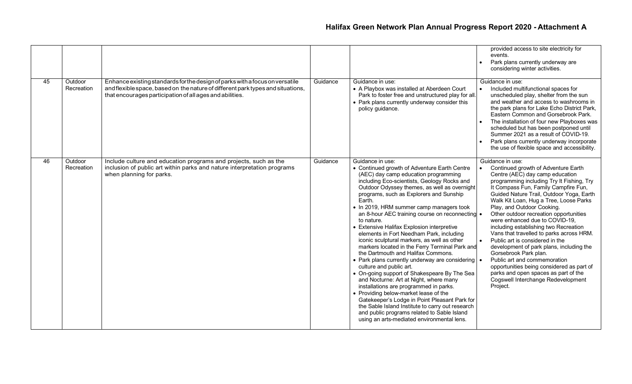|    |                       |                                                                                                                                                                                                                             |          |                                                                                                                                                                                                                                                                                                                                                                                                                                                                                                                                                                                                                                                                                                                                                                                                                                                                                                                                                                                                                                                                         | provided access to site electricity for<br>events.<br>Park plans currently underway are<br>considering winter activities.                                                                                                                                                                                                                                                                                                                                                                                                                                                                                                                                                                                                                           |
|----|-----------------------|-----------------------------------------------------------------------------------------------------------------------------------------------------------------------------------------------------------------------------|----------|-------------------------------------------------------------------------------------------------------------------------------------------------------------------------------------------------------------------------------------------------------------------------------------------------------------------------------------------------------------------------------------------------------------------------------------------------------------------------------------------------------------------------------------------------------------------------------------------------------------------------------------------------------------------------------------------------------------------------------------------------------------------------------------------------------------------------------------------------------------------------------------------------------------------------------------------------------------------------------------------------------------------------------------------------------------------------|-----------------------------------------------------------------------------------------------------------------------------------------------------------------------------------------------------------------------------------------------------------------------------------------------------------------------------------------------------------------------------------------------------------------------------------------------------------------------------------------------------------------------------------------------------------------------------------------------------------------------------------------------------------------------------------------------------------------------------------------------------|
| 45 | Outdoor<br>Recreation | Enhance existing standards for the design of parks with a focus on versatile<br>and flexible space, based on the nature of different park types and situations,<br>that encourages participation of all ages and abilities. | Guidance | Guidance in use:<br>• A Playbox was installed at Aberdeen Court<br>Park to foster free and unstructured play for all.<br>• Park plans currently underway consider this<br>policy guidance.                                                                                                                                                                                                                                                                                                                                                                                                                                                                                                                                                                                                                                                                                                                                                                                                                                                                              | Guidance in use:<br>Included multifunctional spaces for<br>unscheduled play, shelter from the sun<br>and weather and access to washrooms in<br>the park plans for Lake Echo District Park,<br>Eastern Common and Gorsebrook Park.<br>The installation of four new Playboxes was<br>scheduled but has been postponed until<br>Summer 2021 as a result of COVID-19.<br>Park plans currently underway incorporate<br>the use of flexible space and accessibility.                                                                                                                                                                                                                                                                                      |
| 46 | Outdoor<br>Recreation | Include culture and education programs and projects, such as the<br>inclusion of public art within parks and nature interpretation programs<br>when planning for parks.                                                     | Guidance | Guidance in use:<br>• Continued growth of Adventure Earth Centre<br>(AEC) day camp education programming<br>including Eco-scientists, Geology Rocks and<br>Outdoor Odyssey themes, as well as overnight<br>programs, such as Explorers and Sunship<br>Earth.<br>• In 2019, HRM summer camp managers took<br>an 8-hour AEC training course on reconnecting •<br>to nature.<br>• Extensive Halifax Explosion interpretive<br>elements in Fort Needham Park, including<br>iconic sculptural markers, as well as other<br>markers located in the Ferry Terminal Park and<br>the Dartmouth and Halifax Commons.<br>• Park plans currently underway are considering<br>culture and public art.<br>• On-going support of Shakespeare By The Sea<br>and Nocturne: Art at Night, where many<br>installations are programmed in parks.<br>• Providing below-market lease of the<br>Gatekeeper's Lodge in Point Pleasant Park for<br>the Sable Island Institute to carry out research<br>and public programs related to Sable Island<br>using an arts-mediated environmental lens. | Guidance in use:<br>Continued growth of Adventure Earth<br>Centre (AEC) day camp education<br>programming including Try It Fishing, Try<br>It Compass Fun, Family Campfire Fun,<br>Guided Nature Trail, Outdoor Yoga, Earth<br>Walk Kit Loan, Hug a Tree, Loose Parks<br>Play, and Outdoor Cooking.<br>Other outdoor recreation opportunities<br>were enhanced due to COVID-19,<br>including establishing two Recreation<br>Vans that travelled to parks across HRM.<br>Public art is considered in the<br>development of park plans, including the<br>Gorsebrook Park plan.<br>Public art and commemoration<br>opportunities being considered as part of<br>parks and open spaces as part of the<br>Cogswell Interchange Redevelopment<br>Project. |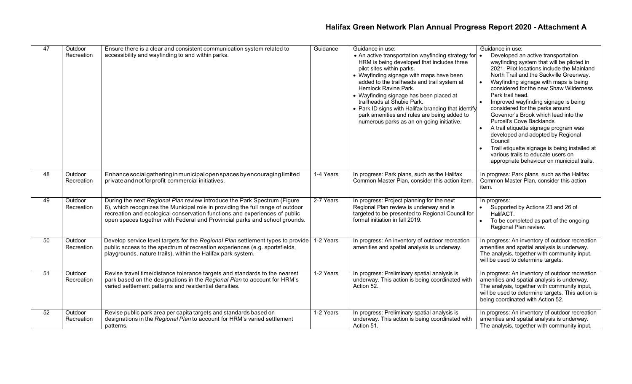| 47 | Outdoor               | Ensure there is a clear and consistent communication system related to                                                                                                                                                                                                                                                 | Guidance  | Guidance in use:                                                                                                                                                                                                                                                                                                                                                                                                                                                               | Guidance in use:                                                                                                                                                                                                                                                                                                                                                                                                                                                                                                                                                                                                                                              |
|----|-----------------------|------------------------------------------------------------------------------------------------------------------------------------------------------------------------------------------------------------------------------------------------------------------------------------------------------------------------|-----------|--------------------------------------------------------------------------------------------------------------------------------------------------------------------------------------------------------------------------------------------------------------------------------------------------------------------------------------------------------------------------------------------------------------------------------------------------------------------------------|---------------------------------------------------------------------------------------------------------------------------------------------------------------------------------------------------------------------------------------------------------------------------------------------------------------------------------------------------------------------------------------------------------------------------------------------------------------------------------------------------------------------------------------------------------------------------------------------------------------------------------------------------------------|
|    | Recreation            | accessibility and wayfinding to and within parks.                                                                                                                                                                                                                                                                      |           | • An active transportation wayfinding strategy for •<br>HRM is being developed that includes three<br>pilot sites within parks.<br>• Wayfinding signage with maps have been<br>added to the trailheads and trail system at<br>Hemlock Ravine Park.<br>• Wayfinding signage has been placed at<br>trailheads at Shubie Park.<br>• Park ID signs with Halifax branding that identify<br>park amenities and rules are being added to<br>numerous parks as an on-going initiative. | Developed an active transportation<br>wayfinding system that will be piloted in<br>2021. Pilot locations include the Mainland<br>North Trail and the Sackville Greenway.<br>Wayfinding signage with maps is being<br>considered for the new Shaw Wilderness<br>Park trail head.<br>Improved wayfinding signage is being<br>considered for the parks around<br>Governor's Brook which lead into the<br>Purcell's Cove Backlands.<br>A trail etiquette signage program was<br>developed and adopted by Regional<br>Council<br>Trail etiquette signage is being installed at<br>various trails to educate users on<br>appropriate behaviour on municipal trails. |
| 48 | Outdoor<br>Recreation | Enhance social gathering in municipal open spaces by encouraging limited<br>private and not for profit commercial initiatives.                                                                                                                                                                                         | 1-4 Years | In progress: Park plans, such as the Halifax<br>Common Master Plan, consider this action item.                                                                                                                                                                                                                                                                                                                                                                                 | In progress: Park plans, such as the Halifax<br>Common Master Plan, consider this action<br>item.                                                                                                                                                                                                                                                                                                                                                                                                                                                                                                                                                             |
| 49 | Outdoor<br>Recreation | During the next Regional Plan review introduce the Park Spectrum (Figure<br>6), which recognizes the Municipal role in providing the full range of outdoor<br>recreation and ecological conservation functions and experiences of public<br>open spaces together with Federal and Provincial parks and school grounds. | 2-7 Years | In progress: Project planning for the next<br>Regional Plan review is underway and is<br>targeted to be presented to Regional Council for<br>formal initiation in fall 2019.                                                                                                                                                                                                                                                                                                   | In progress:<br>Supported by Actions 23 and 26 of<br>$\bullet$<br>HalifACT.<br>To be completed as part of the ongoing<br>Regional Plan review.                                                                                                                                                                                                                                                                                                                                                                                                                                                                                                                |
| 50 | Outdoor<br>Recreation | Develop service level targets for the Regional Plan settlement types to provide 1-2 Years<br>public access to the spectrum of recreation experiences (e.g. sportsfields,<br>playgrounds, nature trails), within the Halifax park system.                                                                               |           | In progress: An inventory of outdoor recreation<br>amenities and spatial analysis is underway.                                                                                                                                                                                                                                                                                                                                                                                 | In progress: An inventory of outdoor recreation<br>amenities and spatial analysis is underway.<br>The analysis, together with community input,<br>will be used to determine targets.                                                                                                                                                                                                                                                                                                                                                                                                                                                                          |
| 51 | Outdoor<br>Recreation | Revise travel time/distance tolerance targets and standards to the nearest<br>park based on the designations in the Regional Plan to account for HRM's<br>varied settlement patterns and residential densities.                                                                                                        | 1-2 Years | In progress: Preliminary spatial analysis is<br>underway. This action is being coordinated with<br>Action 52.                                                                                                                                                                                                                                                                                                                                                                  | In progress: An inventory of outdoor recreation<br>amenities and spatial analysis is underway.<br>The analysis, together with community input,<br>will be used to determine targets. This action is<br>being coordinated with Action 52.                                                                                                                                                                                                                                                                                                                                                                                                                      |
| 52 | Outdoor<br>Recreation | Revise public park area per capita targets and standards based on<br>designations in the Regional Plan to account for HRM's varied settlement<br>patterns.                                                                                                                                                             | 1-2 Years | In progress: Preliminary spatial analysis is<br>underway. This action is being coordinated with<br>Action 51.                                                                                                                                                                                                                                                                                                                                                                  | In progress: An inventory of outdoor recreation<br>amenities and spatial analysis is underway.<br>The analysis, together with community input,                                                                                                                                                                                                                                                                                                                                                                                                                                                                                                                |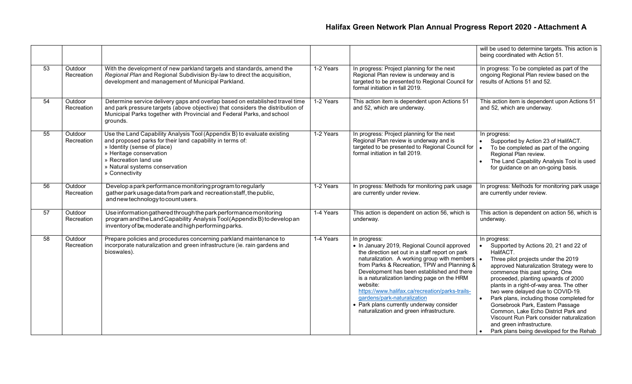|                 |                       |                                                                                                                                                                                                                                                                             |           |                                                                                                                                                                                                                                                                                                                                                                                                                                                                                                       | will be used to determine targets. This action is<br>being coordinated with Action 51.                                                                                                                                                                                                                                                                                                                                                                                                                                                                        |
|-----------------|-----------------------|-----------------------------------------------------------------------------------------------------------------------------------------------------------------------------------------------------------------------------------------------------------------------------|-----------|-------------------------------------------------------------------------------------------------------------------------------------------------------------------------------------------------------------------------------------------------------------------------------------------------------------------------------------------------------------------------------------------------------------------------------------------------------------------------------------------------------|---------------------------------------------------------------------------------------------------------------------------------------------------------------------------------------------------------------------------------------------------------------------------------------------------------------------------------------------------------------------------------------------------------------------------------------------------------------------------------------------------------------------------------------------------------------|
| 53              | Outdoor<br>Recreation | With the development of new parkland targets and standards, amend the<br>Regional Plan and Regional Subdivision By-law to direct the acquisition,<br>development and management of Municipal Parkland.                                                                      | 1-2 Years | In progress: Project planning for the next<br>Regional Plan review is underway and is<br>targeted to be presented to Regional Council for<br>formal initiation in fall 2019.                                                                                                                                                                                                                                                                                                                          | In progress: To be completed as part of the<br>ongoing Regional Plan review based on the<br>results of Actions 51 and 52.                                                                                                                                                                                                                                                                                                                                                                                                                                     |
| 54              | Outdoor<br>Recreation | Determine service delivery gaps and overlap based on established travel time<br>and park pressure targets (above objective) that considers the distribution of<br>Municipal Parks together with Provincial and Federal Parks, and school<br>grounds.                        | 1-2 Years | This action item is dependent upon Actions 51<br>and 52, which are underway.                                                                                                                                                                                                                                                                                                                                                                                                                          | This action item is dependent upon Actions 51<br>and 52, which are underway.                                                                                                                                                                                                                                                                                                                                                                                                                                                                                  |
| $\overline{55}$ | Outdoor<br>Recreation | Use the Land Capability Analysis Tool (Appendix B) to evaluate existing<br>and proposed parks for their land capability in terms of:<br>» Identity (sense of place)<br>» Heritage conservation<br>» Recreation land use<br>» Natural systems conservation<br>» Connectivity | 1-2 Years | In progress: Project planning for the next<br>Regional Plan review is underway and is<br>targeted to be presented to Regional Council for<br>formal initiation in fall 2019.                                                                                                                                                                                                                                                                                                                          | In progress:<br>Supported by Action 23 of HalifACT.<br>$\bullet$<br>To be completed as part of the ongoing<br>Regional Plan review.<br>The Land Capability Analysis Tool is used<br>for guidance on an on-going basis.                                                                                                                                                                                                                                                                                                                                        |
| 56              | Outdoor<br>Recreation | Develop a park performance monitoring program to regularly<br>gather park usage data from park and recreation staff, the public,<br>and new technology to count users.                                                                                                      | 1-2 Years | In progress: Methods for monitoring park usage<br>are currently under review.                                                                                                                                                                                                                                                                                                                                                                                                                         | In progress: Methods for monitoring park usage<br>are currently under review.                                                                                                                                                                                                                                                                                                                                                                                                                                                                                 |
| 57              | Outdoor<br>Recreation | Use information gathered through the park performance monitoring<br>program and the Land Capability Analysis Tool (Appendix B) to develop an<br>inventory of bw, moderate and high performing parks.                                                                        | 1-4 Years | This action is dependent on action 56, which is<br>underway.                                                                                                                                                                                                                                                                                                                                                                                                                                          | This action is dependent on action 56, which is<br>underway.                                                                                                                                                                                                                                                                                                                                                                                                                                                                                                  |
| 58              | Outdoor<br>Recreation | Prepare policies and procedures concerning parkland maintenance to<br>incorporate naturalization and green infrastructure (ie. rain gardens and<br>bioswales).                                                                                                              | 1-4 Years | In progress:<br>• In January 2019, Regional Council approved<br>the direction set out in a staff report on park<br>naturalization. A working group with members   •<br>from Parks & Recreation, TPW and Planning &<br>Development has been established and there<br>is a naturalization landing page on the HRM<br>website:<br>https://www.halifax.ca/recreation/parks-trails-<br>gardens/park-naturalization<br>• Park plans currently underway consider<br>naturalization and green infrastructure. | In progress:<br>Supported by Actions 20, 21 and 22 of<br>HalifACT.<br>Three pilot projects under the 2019<br>approved Naturalization Strategy were to<br>commence this past spring. One<br>proceeded, planting upwards of 2000<br>plants in a right-of-way area. The other<br>two were delayed due to COVID-19.<br>Park plans, including those completed for<br>Gorsebrook Park, Eastern Passage<br>Common, Lake Echo District Park and<br>Viscount Run Park consider naturalization<br>and green infrastructure.<br>Park plans being developed for the Rehab |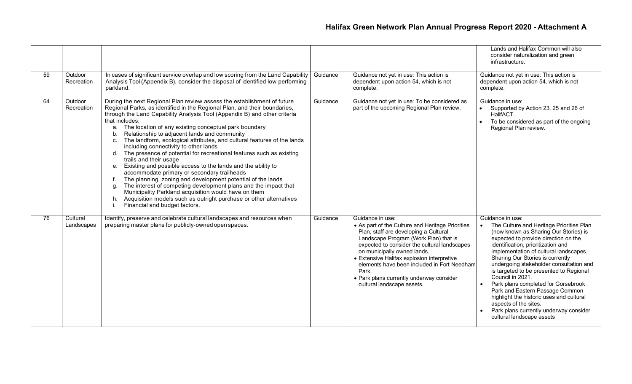|    |                        |                                                                                                                                                                                                                                                                                                                                                                                                                                                                                                                                                                                                                                                                                                                                                                                                                                                                                                                                                                                                                                                          |          |                                                                                                                                                                                                                                                                                                                                                                                                                       | Lands and Halifax Common will also<br>consider naturalization and green<br>infrastructure.                                                                                                                                                                                                                                                                                                                                                                                                                                                                                                        |
|----|------------------------|----------------------------------------------------------------------------------------------------------------------------------------------------------------------------------------------------------------------------------------------------------------------------------------------------------------------------------------------------------------------------------------------------------------------------------------------------------------------------------------------------------------------------------------------------------------------------------------------------------------------------------------------------------------------------------------------------------------------------------------------------------------------------------------------------------------------------------------------------------------------------------------------------------------------------------------------------------------------------------------------------------------------------------------------------------|----------|-----------------------------------------------------------------------------------------------------------------------------------------------------------------------------------------------------------------------------------------------------------------------------------------------------------------------------------------------------------------------------------------------------------------------|---------------------------------------------------------------------------------------------------------------------------------------------------------------------------------------------------------------------------------------------------------------------------------------------------------------------------------------------------------------------------------------------------------------------------------------------------------------------------------------------------------------------------------------------------------------------------------------------------|
| 59 | Outdoor<br>Recreation  | In cases of significant service overlap and low scoring from the Land Capability<br>Analysis Tool (Appendix B), consider the disposal of identified low performing<br>parkland.                                                                                                                                                                                                                                                                                                                                                                                                                                                                                                                                                                                                                                                                                                                                                                                                                                                                          | Guidance | Guidance not yet in use: This action is<br>dependent upon action 54, which is not<br>complete.                                                                                                                                                                                                                                                                                                                        | Guidance not yet in use: This action is<br>dependent upon action 54, which is not<br>complete.                                                                                                                                                                                                                                                                                                                                                                                                                                                                                                    |
| 64 | Outdoor<br>Recreation  | During the next Regional Plan review assess the establishment of future<br>Regional Parks, as identified in the Regional Plan, and their boundaries,<br>through the Land Capability Analysis Tool (Appendix B) and other criteria<br>that includes:<br>The location of any existing conceptual park boundary<br>a.<br>Relationship to adjacent lands and community<br>b.<br>The landform, ecological attributes, and cultural features of the lands<br>C <sub>1</sub><br>including connectivity to other lands<br>The presence of potential for recreational features such as existing<br>d.<br>trails and their usage<br>Existing and possible access to the lands and the ability to<br>accommodate primary or secondary trailheads<br>The planning, zoning and development potential of the lands<br>f.<br>The interest of competing development plans and the impact that<br>q.<br>Municipality Parkland acquisition would have on them<br>Acquisition models such as outright purchase or other alternatives<br>h.<br>Financial and budget factors. | Guidance | Guidance not yet in use: To be considered as<br>part of the upcoming Regional Plan review.                                                                                                                                                                                                                                                                                                                            | Guidance in use:<br>Supported by Action 23, 25 and 26 of<br>HalifACT.<br>To be considered as part of the ongoing<br>Regional Plan review.                                                                                                                                                                                                                                                                                                                                                                                                                                                         |
| 76 | Cultural<br>Landscapes | Identify, preserve and celebrate cultural landscapes and resources when<br>preparing master plans for publicly-owned open spaces.                                                                                                                                                                                                                                                                                                                                                                                                                                                                                                                                                                                                                                                                                                                                                                                                                                                                                                                        | Guidance | Guidance in use:<br>• As part of the Culture and Heritage Priorities<br>Plan, staff are developing a Cultural<br>Landscape Program (Work Plan) that is<br>expected to consider the cultural landscapes<br>on municipally owned lands.<br>• Extensive Halifax explosion interpretive<br>elements have been included in Fort Needham<br>Park.<br>• Park plans currently underway consider<br>cultural landscape assets. | Guidance in use:<br>The Culture and Heritage Priorities Plan<br>(now known as Sharing Our Stories) is<br>expected to provide direction on the<br>identification, prioritization and<br>implementation of cultural landscapes.<br>Sharing Our Stories is currently<br>undergoing stakeholder consultation and<br>is targeted to be presented to Regional<br>Council in 2021.<br>Park plans completed for Gorsebrook<br>Park and Eastern Passage Common<br>highlight the historic uses and cultural<br>aspects of the sites.<br>Park plans currently underway consider<br>cultural landscape assets |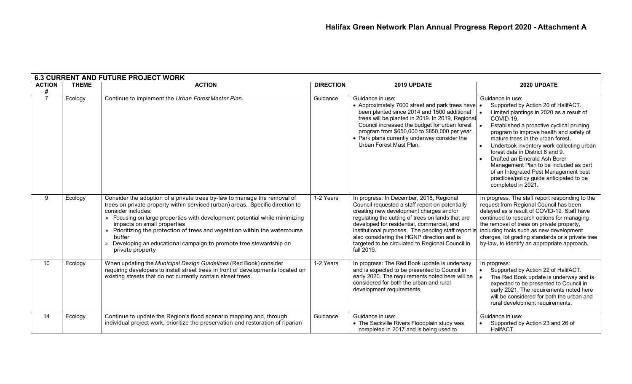|                    | <b>6.3 CURRENT AND FUTURE PROJECT WORK</b> |                                                                                                                                                                                                                                                                                                                                                                                                                                                                                    |                  |                                                                                                                                                                                                                                                                                                                                                                                                                  |                                                                                                                                                                                                                                                                                                                                                                                                                                                                                                                    |  |  |  |
|--------------------|--------------------------------------------|------------------------------------------------------------------------------------------------------------------------------------------------------------------------------------------------------------------------------------------------------------------------------------------------------------------------------------------------------------------------------------------------------------------------------------------------------------------------------------|------------------|------------------------------------------------------------------------------------------------------------------------------------------------------------------------------------------------------------------------------------------------------------------------------------------------------------------------------------------------------------------------------------------------------------------|--------------------------------------------------------------------------------------------------------------------------------------------------------------------------------------------------------------------------------------------------------------------------------------------------------------------------------------------------------------------------------------------------------------------------------------------------------------------------------------------------------------------|--|--|--|
| <b>ACTION</b><br># | <b>THEME</b>                               | <b>ACTION</b>                                                                                                                                                                                                                                                                                                                                                                                                                                                                      | <b>DIRECTION</b> | 2019 UPDATE                                                                                                                                                                                                                                                                                                                                                                                                      | 2020 UPDATE                                                                                                                                                                                                                                                                                                                                                                                                                                                                                                        |  |  |  |
| $\overline{7}$     | Ecology                                    | Continue to implement the Urban Forest Master Plan.                                                                                                                                                                                                                                                                                                                                                                                                                                | Guidance         | Guidance in use:<br>• Approximately 7000 street and park trees have<br>been planted since 2014 and 1500 additional<br>trees will be planted in 2019. In 2019, Regional<br>Council increased the budget for urban forest<br>program from \$650,000 to \$850,000 per year.<br>• Park plans currently underway consider the<br>Urban Forest Mast Plan.                                                              | Guidance in use:<br>Supported by Action 20 of HalifACT.<br>Limited plantings in 2020 as a result of<br>COVID-19.<br>Established a proactive cyclical pruning<br>program to improve health and safety of<br>mature trees in the urban forest.<br>Undertook inventory work collecting urban<br>forest data in District 8 and 9.<br>Drafted an Emerald Ash Borer<br>Management Plan to be included as part<br>of an Integrated Pest Management best<br>practices/policy guide anticipated to be<br>completed in 2021. |  |  |  |
| 9                  | Ecology                                    | Consider the adoption of a private trees by-law to manage the removal of<br>trees on private property within serviced (urban) areas. Specific direction to<br>consider includes:<br>» Focusing on large properties with development potential while minimizing<br>impacts on small properties<br>» Prioritizing the protection of trees and vegetation within the watercourse<br>buffer<br>» Developing an educational campaign to promote tree stewardship on<br>private property | 1-2 Years        | In progress: In December, 2018, Regional<br>Council requested a staff report on potentially<br>creating new development charges and/or<br>regulating the cutting of trees on lands that are<br>developed for residential, commercial, and<br>institutional purposes. The pending staff report is<br>also considering the HGNP direction and is<br>targeted to be circulated to Regional Council in<br>fall 2019. | In progress: The staff report responding to the<br>request from Regional Council has been<br>delayed as a result of COVID-19. Staff have<br>continued to research options for managing<br>the removal of trees on private property,<br>including tools such as new development<br>charges, lot grading standards or a private tree<br>by-law, to identify an appropriate approach.                                                                                                                                 |  |  |  |
| 10                 | Ecology                                    | When updating the Municipal Design Guidelines (Red Book) consider<br>requiring developers to install street trees in front of developments located on<br>existing streets that do not currently contain street trees.                                                                                                                                                                                                                                                              | 1-2 Years        | In progress: The Red Book update is underway<br>and is expected to be presented to Council in<br>early 2020. The requirements noted here will be<br>considered for both the urban and rural<br>development requirements.                                                                                                                                                                                         | In progress:<br>Supported by Action 22 of HalifACT.<br>The Red Book update is underway and is<br>expected to be presented to Council in<br>early 2021. The requirements noted here<br>will be considered for both the urban and<br>rural development requirements.                                                                                                                                                                                                                                                 |  |  |  |
| 14                 | Ecology                                    | Continue to update the Region's flood scenario mapping and, through<br>individual project work, prioritize the preservation and restoration of riparian                                                                                                                                                                                                                                                                                                                            | Guidance         | Guidance in use:<br>• The Sackville Rivers Floodplain study was<br>completed in 2017 and is being used to                                                                                                                                                                                                                                                                                                        | Guidance in use:<br>Supported by Action 23 and 26 of<br>HalifACT.                                                                                                                                                                                                                                                                                                                                                                                                                                                  |  |  |  |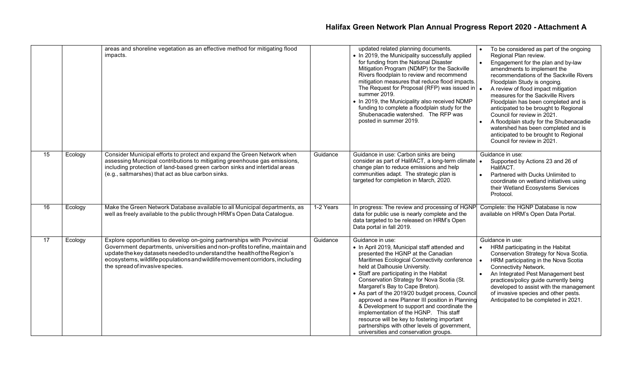|                 |         | areas and shoreline vegetation as an effective method for mitigating flood<br>impacts.                                                                                                                                                                                                                                                              |           | updated related planning documents.<br>• In 2019, the Municipality successfully applied<br>for funding from the National Disaster<br>Mitigation Program (NDMP) for the Sackville<br>Rivers floodplain to review and recommend<br>mitigation measures that reduce flood impacts.<br>The Request for Proposal (RFP) was issued in $\vert$ .<br>summer 2019.<br>• In 2019, the Municipality also received NDMP<br>funding to complete a floodplain study for the<br>Shubenacadie watershed. The RFP was<br>posted in summer 2019.                                                                                                                                 | To be considered as part of the ongoing<br>Regional Plan review.<br>Engagement for the plan and by-law<br>$\bullet$<br>amendments to implement the<br>recommendations of the Sackville Rivers<br>Floodplain Study is ongoing.<br>A review of flood impact mitigation<br>measures for the Sackville Rivers<br>Floodplain has been completed and is<br>anticipated to be brought to Regional<br>Council for review in 2021.<br>A floodplain study for the Shubenacadie<br>watershed has been completed and is<br>anticipated to be brought to Regional<br>Council for review in 2021. |
|-----------------|---------|-----------------------------------------------------------------------------------------------------------------------------------------------------------------------------------------------------------------------------------------------------------------------------------------------------------------------------------------------------|-----------|----------------------------------------------------------------------------------------------------------------------------------------------------------------------------------------------------------------------------------------------------------------------------------------------------------------------------------------------------------------------------------------------------------------------------------------------------------------------------------------------------------------------------------------------------------------------------------------------------------------------------------------------------------------|-------------------------------------------------------------------------------------------------------------------------------------------------------------------------------------------------------------------------------------------------------------------------------------------------------------------------------------------------------------------------------------------------------------------------------------------------------------------------------------------------------------------------------------------------------------------------------------|
| $\overline{15}$ | Ecology | Consider Municipal efforts to protect and expand the Green Network when<br>assessing Municipal contributions to mitigating greenhouse gas emissions,<br>including protection of land-based green carbon sinks and intertidal areas<br>(e.g., saltmarshes) that act as blue carbon sinks.                                                            | Guidance  | Guidance in use: Carbon sinks are being<br>consider as part of HalifACT, a long-term climate   •<br>change plan to reduce emissions and help<br>communities adapt. The strategic plan is<br>targeted for completion in March, 2020.                                                                                                                                                                                                                                                                                                                                                                                                                            | Guidance in use:<br>Supported by Actions 23 and 26 of<br>HalifACT.<br>Partnered with Ducks Unlimited to<br>coordinate on wetland initiatives using<br>their Wetland Ecosystems Services<br>Protocol.                                                                                                                                                                                                                                                                                                                                                                                |
| 16              | Ecology | Make the Green Network Database available to all Municipal departments, as<br>well as freely available to the public through HRM's Open Data Catalogue.                                                                                                                                                                                             | 1-2 Years | In progress: The review and processing of HGNP<br>data for public use is nearly complete and the<br>data targeted to be released on HRM's Open<br>Data portal in fall 2019.                                                                                                                                                                                                                                                                                                                                                                                                                                                                                    | Complete: the HGNP Database is now<br>available on HRM's Open Data Portal.                                                                                                                                                                                                                                                                                                                                                                                                                                                                                                          |
| $\overline{17}$ | Ecology | Explore opportunities to develop on-going partnerships with Provincial<br>Government departments, universities and non-profits to refine, maintain and<br>update the key datasets needed to understand the health of the Region's<br>ecosystems, wildlife populations and wildlife movement corridors, including<br>the spread of invasive species. | Guidance  | Guidance in use:<br>• In April 2019, Municipal staff attended and<br>presented the HGNP at the Canadian<br>Maritimes Ecological Connectivity conference<br>held at Dalhousie University.<br>• Staff are participating in the Habitat<br>Conservation Strategy for Nova Scotia (St.<br>Margaret's Bay to Cape Breton).<br>• As part of the 2019/20 budget process, Council<br>approved a new Planner III position in Planning<br>& Development to support and coordinate the<br>implementation of the HGNP. This staff<br>resource will be key to fostering important<br>partnerships with other levels of government,<br>universities and conservation groups. | Guidance in use:<br>HRM participating in the Habitat<br>Conservation Strategy for Nova Scotia.<br>HRM participating in the Nova Scotia<br>Connectivity Network.<br>An Integrated Pest Management best<br>practices/policy guide currently being<br>developed to assist with the management<br>of invasive species and other pests.<br>Anticipated to be completed in 2021.                                                                                                                                                                                                          |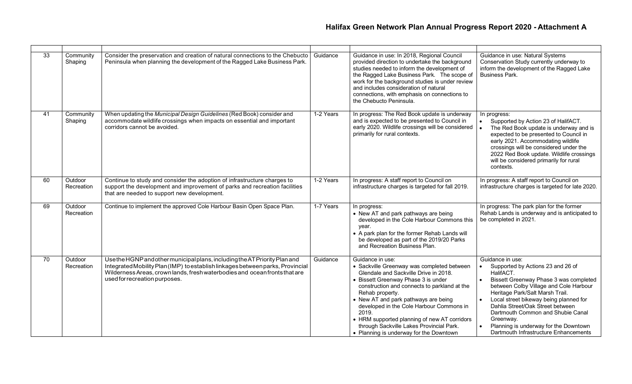| 33              | Community<br>Shaping  | Consider the preservation and creation of natural connections to the Chebucto<br>Peninsula when planning the development of the Ragged Lake Business Park.                                                                                                                  | Guidance  | Guidance in use: In 2018, Regional Council<br>provided direction to undertake the background<br>studies needed to inform the development of<br>the Ragged Lake Business Park. The scope of<br>work for the background studies is under review<br>and includes consideration of natural<br>connections, with emphasis on connections to<br>the Chebucto Peninsula.                                                                                     | Guidance in use: Natural Systems<br>Conservation Study currently underway to<br>inform the development of the Ragged Lake<br><b>Business Park.</b>                                                                                                                                                                                                                                                          |
|-----------------|-----------------------|-----------------------------------------------------------------------------------------------------------------------------------------------------------------------------------------------------------------------------------------------------------------------------|-----------|-------------------------------------------------------------------------------------------------------------------------------------------------------------------------------------------------------------------------------------------------------------------------------------------------------------------------------------------------------------------------------------------------------------------------------------------------------|-------------------------------------------------------------------------------------------------------------------------------------------------------------------------------------------------------------------------------------------------------------------------------------------------------------------------------------------------------------------------------------------------------------|
| 41              | Community<br>Shaping  | When updating the Municipal Design Guidelines (Red Book) consider and<br>accommodate wildlife crossings when impacts on essential and important<br>corridors cannot be avoided.                                                                                             | 1-2 Years | In progress: The Red Book update is underway<br>and is expected to be presented to Council in<br>early 2020. Wildlife crossings will be considered  <br>primarily for rural contexts.                                                                                                                                                                                                                                                                 | In progress:<br>$\bullet$<br>Supported by Action 23 of HalifACT.<br>The Red Book update is underway and is<br>expected to be presented to Council in<br>early 2021. Accommodating wildlife<br>crossings will be considered under the<br>2022 Red Book update. Wildlife crossings<br>will be considered primarily for rural<br>contexts.                                                                     |
| 60              | Outdoor<br>Recreation | Continue to study and consider the adoption of infrastructure charges to<br>support the development and improvement of parks and recreation facilities<br>that are needed to support new development.                                                                       | 1-2 Years | In progress: A staff report to Council on<br>infrastructure charges is targeted for fall 2019.                                                                                                                                                                                                                                                                                                                                                        | In progress: A staff report to Council on<br>infrastructure charges is targeted for late 2020.                                                                                                                                                                                                                                                                                                              |
| 69              | Outdoor<br>Recreation | Continue to implement the approved Cole Harbour Basin Open Space Plan.                                                                                                                                                                                                      | 1-7 Years | In progress:<br>• New AT and park pathways are being<br>developed in the Cole Harbour Commons this<br>vear.<br>• A park plan for the former Rehab Lands will<br>be developed as part of the 2019/20 Parks<br>and Recreation Business Plan.                                                                                                                                                                                                            | In progress: The park plan for the former<br>Rehab Lands is underway and is anticipated to<br>be completed in 2021.                                                                                                                                                                                                                                                                                         |
| $\overline{70}$ | Outdoor<br>Recreation | Use the HGNP and other municipal plans, including the AT Priority Plan and<br>Integrated Mobility Plan (IMP) to establish linkages between parks, Provincial<br>Wilderness Areas, crown lands, fresh waterbodies and ocean fronts that are<br>used for recreation purposes. | Guidance  | Guidance in use:<br>• Sackville Greenway was completed between<br>Glendale and Sackville Drive in 2018.<br>• Bissett Greenway Phase 3 is under<br>construction and connects to parkland at the<br>Rehab property.<br>• New AT and park pathways are being<br>developed in the Cole Harbour Commons in<br>2019.<br>• HRM supported planning of new AT corridors<br>through Sackville Lakes Provincial Park.<br>• Planning is underway for the Downtown | Guidance in use:<br>Supported by Actions 23 and 26 of<br>HalifACT.<br>Bissett Greenway Phase 3 was completed<br>between Colby Village and Cole Harbour<br>Heritage Park/Salt Marsh Trail.<br>Local street bikeway being planned for<br>Dahlia Street/Oak Street between<br>Dartmouth Common and Shubie Canal<br>Greenway.<br>Planning is underway for the Downtown<br>Dartmouth Infrastructure Enhancements |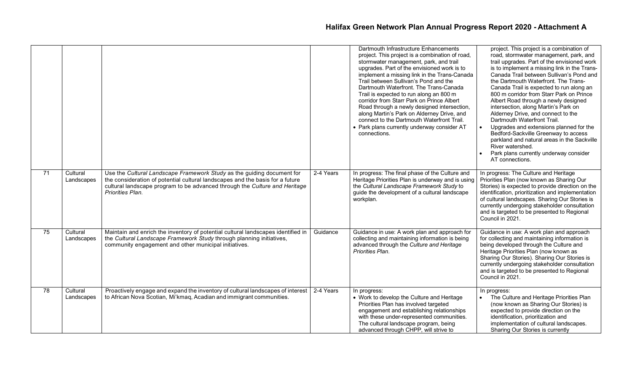|                 |                        |                                                                                                                                                                                                                                                           |           | Dartmouth Infrastructure Enhancements<br>project. This project is a combination of road,<br>stormwater management, park, and trail<br>upgrades. Part of the envisioned work is to<br>implement a missing link in the Trans-Canada<br>Trail between Sullivan's Pond and the<br>Dartmouth Waterfront. The Trans-Canada<br>Trail is expected to run along an 800 m<br>corridor from Starr Park on Prince Albert<br>Road through a newly designed intersection,<br>along Martin's Park on Alderney Drive, and<br>connect to the Dartmouth Waterfront Trail.<br>• Park plans currently underway consider AT<br>connections. | project. This project is a combination of<br>road, stormwater management, park, and<br>trail upgrades. Part of the envisioned work<br>is to implement a missing link in the Trans-<br>Canada Trail between Sullivan's Pond and<br>the Dartmouth Waterfront. The Trans-<br>Canada Trail is expected to run along an<br>800 m corridor from Starr Park on Prince<br>Albert Road through a newly designed<br>intersection, along Martin's Park on<br>Alderney Drive, and connect to the<br>Dartmouth Waterfront Trail.<br>Upgrades and extensions planned for the<br>Bedford-Sackville Greenway to access<br>parkland and natural areas in the Sackville<br>River watershed.<br>Park plans currently underway consider<br>AT connections. |
|-----------------|------------------------|-----------------------------------------------------------------------------------------------------------------------------------------------------------------------------------------------------------------------------------------------------------|-----------|------------------------------------------------------------------------------------------------------------------------------------------------------------------------------------------------------------------------------------------------------------------------------------------------------------------------------------------------------------------------------------------------------------------------------------------------------------------------------------------------------------------------------------------------------------------------------------------------------------------------|----------------------------------------------------------------------------------------------------------------------------------------------------------------------------------------------------------------------------------------------------------------------------------------------------------------------------------------------------------------------------------------------------------------------------------------------------------------------------------------------------------------------------------------------------------------------------------------------------------------------------------------------------------------------------------------------------------------------------------------|
| 71              | Cultural<br>Landscapes | Use the Cultural Landscape Framework Study as the guiding document for<br>the consideration of potential cultural landscapes and the basis for a future<br>cultural landscape program to be advanced through the Culture and Heritage<br>Priorities Plan. | 2-4 Years | In progress: The final phase of the Culture and<br>Heritage Priorities Plan is underway and is using<br>the Cultural Landscape Framework Study to<br>guide the development of a cultural landscape<br>workplan.                                                                                                                                                                                                                                                                                                                                                                                                        | In progress: The Culture and Heritage<br>Priorities Plan (now known as Sharing Our<br>Stories) is expected to provide direction on the<br>identification, prioritization and implementation<br>of cultural landscapes. Sharing Our Stories is<br>currently undergoing stakeholder consultation<br>and is targeted to be presented to Regional<br>Council in 2021.                                                                                                                                                                                                                                                                                                                                                                      |
| 75              | Cultural<br>Landscapes | Maintain and enrich the inventory of potential cultural landscapes identified in<br>the Cultural Landscape Framework Study through planning initiatives,<br>community engagement and other municipal initiatives.                                         | Guidance  | Guidance in use: A work plan and approach for<br>collecting and maintaining information is being<br>advanced through the Culture and Heritage<br>Priorities Plan.                                                                                                                                                                                                                                                                                                                                                                                                                                                      | Guidance in use: A work plan and approach<br>for collecting and maintaining information is<br>being developed through the Culture and<br>Heritage Priorities Plan (now known as<br>Sharing Our Stories). Sharing Our Stories is<br>currently undergoing stakeholder consultation<br>and is targeted to be presented to Regional<br>Council in 2021.                                                                                                                                                                                                                                                                                                                                                                                    |
| $\overline{78}$ | Cultural<br>Landscapes | Proactively engage and expand the inventory of cultural landscapes of interest<br>to African Nova Scotian, Mi'kmaq, Acadian and immigrant communities.                                                                                                    | 2-4 Years | In progress:<br>• Work to develop the Culture and Heritage<br>Priorities Plan has involved targeted<br>engagement and establishing relationships<br>with these under-represented communities.<br>The cultural landscape program, being<br>advanced through CHPP, will strive to                                                                                                                                                                                                                                                                                                                                        | In progress:<br>The Culture and Heritage Priorities Plan<br>(now known as Sharing Our Stories) is<br>expected to provide direction on the<br>identification, prioritization and<br>implementation of cultural landscapes.<br>Sharing Our Stories is currently                                                                                                                                                                                                                                                                                                                                                                                                                                                                          |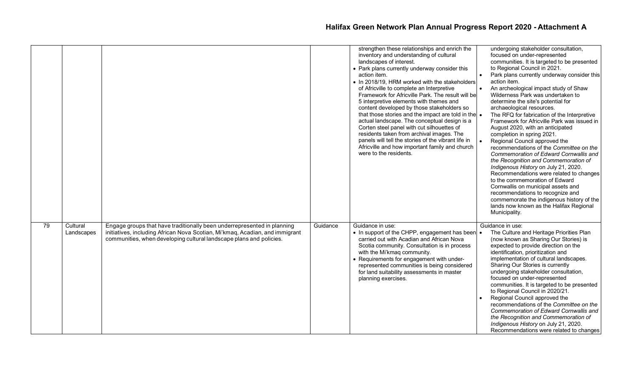|    |                        |                                                                                                                                                                                                                                |          | strengthen these relationships and enrich the<br>inventory and understanding of cultural<br>landscapes of interest.<br>• Park plans currently underway consider this<br>action item.<br>• In 2018/19, HRM worked with the stakeholders<br>of Africville to complete an Interpretive<br>Framework for Africville Park. The result will be<br>5 interpretive elements with themes and<br>content developed by those stakeholders so<br>that those stories and the impact are told in the $\bullet$<br>actual landscape. The conceptual design is a<br>Corten steel panel with cut silhouettes of<br>residents taken from archival images. The<br>panels will tell the stories of the vibrant life in<br>Africville and how important family and church<br>were to the residents. | undergoing stakeholder consultation,<br>focused on under-represented<br>communities. It is targeted to be presented<br>to Regional Council in 2021.<br>Park plans currently underway consider this<br>action item.<br>An archeological impact study of Shaw<br>Wilderness Park was undertaken to<br>determine the site's potential for<br>archaeological resources.<br>The RFQ for fabrication of the Interpretive<br>Framework for Africville Park was issued in<br>August 2020, with an anticipated<br>completion in spring 2021.<br>Regional Council approved the<br>recommendations of the Committee on the<br>Commemoration of Edward Cornwallis and<br>the Recognition and Commemoration of<br>Indigenous History on July 21, 2020.<br>Recommendations were related to changes<br>to the commemoration of Edward<br>Cornwallis on municipal assets and<br>recommendations to recognize and<br>commemorate the indigenous history of the<br>lands now known as the Halifax Regional<br>Municipality. |
|----|------------------------|--------------------------------------------------------------------------------------------------------------------------------------------------------------------------------------------------------------------------------|----------|--------------------------------------------------------------------------------------------------------------------------------------------------------------------------------------------------------------------------------------------------------------------------------------------------------------------------------------------------------------------------------------------------------------------------------------------------------------------------------------------------------------------------------------------------------------------------------------------------------------------------------------------------------------------------------------------------------------------------------------------------------------------------------|-----------------------------------------------------------------------------------------------------------------------------------------------------------------------------------------------------------------------------------------------------------------------------------------------------------------------------------------------------------------------------------------------------------------------------------------------------------------------------------------------------------------------------------------------------------------------------------------------------------------------------------------------------------------------------------------------------------------------------------------------------------------------------------------------------------------------------------------------------------------------------------------------------------------------------------------------------------------------------------------------------------|
| 79 | Cultural<br>Landscapes | Engage groups that have traditionally been underrepresented in planning<br>initiatives, including African Nova Scotian, Mi'kmaq, Acadian, and immigrant<br>communities, when developing cultural landscape plans and policies. | Guidance | Guidance in use:<br>• In support of the CHPP, engagement has been •<br>carried out with Acadian and African Nova<br>Scotia community. Consultation is in process<br>with the Mi'kmaq community.<br>• Requirements for engagement with under-<br>represented communities is being considered<br>for land suitability assessments in master<br>planning exercises.                                                                                                                                                                                                                                                                                                                                                                                                               | Guidance in use:<br>The Culture and Heritage Priorities Plan<br>(now known as Sharing Our Stories) is<br>expected to provide direction on the<br>identification, prioritization and<br>implementation of cultural landscapes.<br>Sharing Our Stories is currently<br>undergoing stakeholder consultation,<br>focused on under-represented<br>communities. It is targeted to be presented<br>to Regional Council in 2020/21.<br>Regional Council approved the<br>recommendations of the Committee on the<br>Commemoration of Edward Cornwallis and<br>the Recognition and Commemoration of<br>Indigenous History on July 21, 2020.<br>Recommendations were related to changes                                                                                                                                                                                                                                                                                                                              |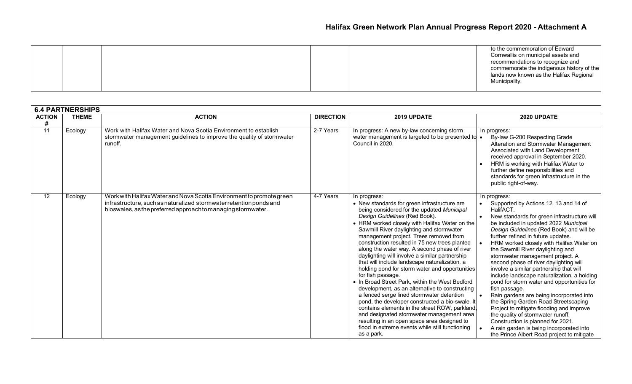| Municipality. |
|---------------|
|---------------|

|               | <b>6.4 PARTNERSHIPS</b> |                                                                                                                                                                                                            |                  |                                                                                                                                                                                                                                                                                                                                                                                                                                                                                                                                                                                                                                                                                                                                                                                                                                                                                                                                                                                    |                                                                                                                                                                                                                                                                                                                                                                                                                                                                                                                                                                                                                                                                                                                                                                                                                                                                          |  |  |
|---------------|-------------------------|------------------------------------------------------------------------------------------------------------------------------------------------------------------------------------------------------------|------------------|------------------------------------------------------------------------------------------------------------------------------------------------------------------------------------------------------------------------------------------------------------------------------------------------------------------------------------------------------------------------------------------------------------------------------------------------------------------------------------------------------------------------------------------------------------------------------------------------------------------------------------------------------------------------------------------------------------------------------------------------------------------------------------------------------------------------------------------------------------------------------------------------------------------------------------------------------------------------------------|--------------------------------------------------------------------------------------------------------------------------------------------------------------------------------------------------------------------------------------------------------------------------------------------------------------------------------------------------------------------------------------------------------------------------------------------------------------------------------------------------------------------------------------------------------------------------------------------------------------------------------------------------------------------------------------------------------------------------------------------------------------------------------------------------------------------------------------------------------------------------|--|--|
| <b>ACTION</b> | <b>THEME</b>            | <b>ACTION</b>                                                                                                                                                                                              | <b>DIRECTION</b> | 2019 UPDATE                                                                                                                                                                                                                                                                                                                                                                                                                                                                                                                                                                                                                                                                                                                                                                                                                                                                                                                                                                        | 2020 UPDATE                                                                                                                                                                                                                                                                                                                                                                                                                                                                                                                                                                                                                                                                                                                                                                                                                                                              |  |  |
| #<br>11       | Ecology                 | Work with Halifax Water and Nova Scotia Environment to establish<br>stormwater management guidelines to improve the quality of stormwater<br>runoff.                                                       | 2-7 Years        | In progress: A new by-law concerning storm<br>water management is targeted to be presented to $\bullet$<br>Council in 2020.                                                                                                                                                                                                                                                                                                                                                                                                                                                                                                                                                                                                                                                                                                                                                                                                                                                        | In progress:<br>By-law G-200 Respecting Grade<br>Alteration and Stormwater Management<br>Associated with Land Development<br>received approval in September 2020.<br>HRM is working with Halifax Water to<br>further define responsibilities and<br>standards for green infrastructure in the<br>public right-of-way.                                                                                                                                                                                                                                                                                                                                                                                                                                                                                                                                                    |  |  |
| 12            | Ecology                 | Work with Halifax Water and Nova Scotia Environment to promote green<br>infrastructure, such as naturalized stormwater retention ponds and<br>bioswales, as the preferred approach to managing stormwater. | 4-7 Years        | In progress:<br>• New standards for green infrastructure are<br>being considered for the updated Municipal<br>Design Guidelines (Red Book).<br>• HRM worked closely with Halifax Water on the<br>Sawmill River daylighting and stormwater<br>management project. Trees removed from<br>construction resulted in 75 new trees planted<br>along the water way. A second phase of river<br>daylighting will involve a similar partnership<br>that will include landscape naturalization, a<br>holding pond for storm water and opportunities<br>for fish passage.<br>. In Broad Street Park, within the West Bedford<br>development, as an alternative to constructing<br>a fenced serge lined stormwater detention<br>pond, the developer constructed a bio-swale. It<br>contains elements in the street ROW, parkland,<br>and designated stormwater management area<br>resulting in an open space area designed to<br>flood in extreme events while still functioning<br>as a park. | In progress:<br>Supported by Actions 12, 13 and 14 of<br>HalifACT.<br>New standards for green infrastructure will<br>be included in updated 2022 Municipal<br>Design Guidelines (Red Book) and will be<br>further refined in future updates.<br>HRM worked closely with Halifax Water on<br>the Sawmill River daylighting and<br>stormwater management project. A<br>second phase of river daylighting will<br>involve a similar partnership that will<br>include landscape naturalization, a holding<br>pond for storm water and opportunities for<br>fish passage.<br>Rain gardens are being incorporated into<br>the Spring Garden Road Streetscaping<br>Project to mitigate flooding and improve<br>the quality of stormwater runoff.<br>Construction is planned for 2021.<br>A rain garden is being incorporated into<br>the Prince Albert Road project to mitigate |  |  |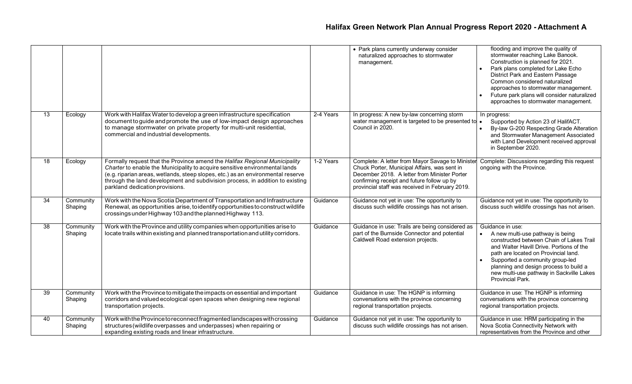|                 |                      |                                                                                                                                                                                                                                                                                                                                                                  |           | • Park plans currently underway consider<br>naturalized approaches to stormwater<br>management.                                                                                                                                                   | flooding and improve the quality of<br>stormwater reaching Lake Banook.<br>Construction is planned for 2021.<br>Park plans completed for Lake Echo<br>District Park and Eastern Passage<br>Common considered naturalized<br>approaches to stormwater management.<br>Future park plans will consider naturalized<br>approaches to stormwater management. |
|-----------------|----------------------|------------------------------------------------------------------------------------------------------------------------------------------------------------------------------------------------------------------------------------------------------------------------------------------------------------------------------------------------------------------|-----------|---------------------------------------------------------------------------------------------------------------------------------------------------------------------------------------------------------------------------------------------------|---------------------------------------------------------------------------------------------------------------------------------------------------------------------------------------------------------------------------------------------------------------------------------------------------------------------------------------------------------|
| 13              | Ecology              | Work with Halifax Water to develop a green infrastructure specification<br>document to guide and promote the use of low-impact design approaches<br>to manage stormwater on private property for multi-unit residential,<br>commercial and industrial developments.                                                                                              | 2-4 Years | In progress: A new by-law concerning storm<br>water management is targeted to be presented to •<br>Council in 2020.                                                                                                                               | In progress:<br>Supported by Action 23 of HalifACT.<br>By-law G-200 Respecting Grade Alteration<br>and Stormwater Management Associated<br>with Land Development received approval<br>in September 2020.                                                                                                                                                |
| 18              | Ecology              | Formally request that the Province amend the Halifax Regional Municipality<br>Charter to enable the Municipality to acquire sensitive environmental lands<br>(e.g. riparian areas, wetlands, steep slopes, etc.) as an environmental reserve<br>through the land development and subdivision process, in addition to existing<br>parkland dedication provisions. | 1-2 Years | Complete: A letter from Mayor Savage to Minister<br>Chuck Porter, Municipal Affairs, was sent in<br>December 2018. A letter from Minister Porter<br>confirming receipt and future follow up by<br>provincial staff was received in February 2019. | Complete: Discussions regarding this request<br>ongoing with the Province.                                                                                                                                                                                                                                                                              |
| 34              | Community<br>Shaping | Work with the Nova Scotia Department of Transportation and Infrastructure<br>Renewal, as opportunities arise, to identify opportunities to construct wildlife<br>crossings under Highway 103 and the planned Highway 113.                                                                                                                                        | Guidance  | Guidance not yet in use: The opportunity to<br>discuss such wildlife crossings has not arisen.                                                                                                                                                    | Guidance not yet in use: The opportunity to<br>discuss such wildlife crossings has not arisen.                                                                                                                                                                                                                                                          |
| $\overline{38}$ | Community<br>Shaping | Work with the Province and utility companies when opportunities arise to<br>locate trails within existing and planned transportation and utility corridors.                                                                                                                                                                                                      | Guidance  | Guidance in use: Trails are being considered as<br>part of the Burnside Connector and potential<br>Caldwell Road extension projects.                                                                                                              | Guidance in use:<br>A new multi-use pathway is being<br>constructed between Chain of Lakes Trail<br>and Walter Havill Drive. Portions of the<br>path are located on Provincial land.<br>Supported a community group-led<br>planning and design process to build a<br>new multi-use pathway in Sackville Lakes<br>Provincial Park.                       |
| 39              | Community<br>Shaping | Work with the Province to mitigate the impacts on essential and important<br>corridors and valued ecological open spaces when designing new regional<br>transportation projects.                                                                                                                                                                                 | Guidance  | Guidance in use: The HGNP is informing<br>conversations with the province concerning<br>regional transportation projects.                                                                                                                         | Guidance in use: The HGNP is informing<br>conversations with the province concerning<br>regional transportation projects.                                                                                                                                                                                                                               |
| 40              | Community<br>Shaping | Work with the Province to reconnect fragmented landscapes with crossing<br>structures (wildlife overpasses and underpasses) when repairing or<br>expanding existing roads and linear infrastructure.                                                                                                                                                             | Guidance  | Guidance not yet in use: The opportunity to<br>discuss such wildlife crossings has not arisen.                                                                                                                                                    | Guidance in use: HRM participating in the<br>Nova Scotia Connectivity Network with<br>representatives from the Province and other                                                                                                                                                                                                                       |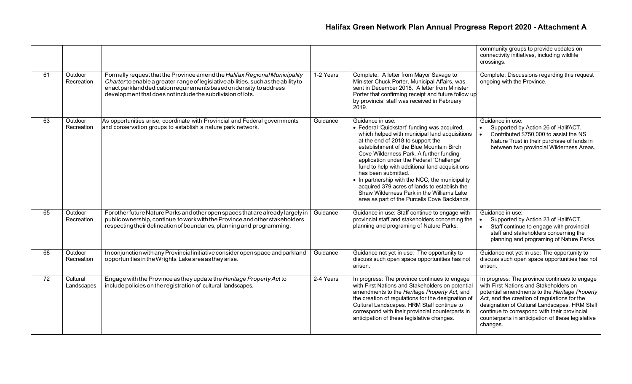|    |                        |                                                                                                                                                                                                                                                                                                      |           |                                                                                                                                                                                                                                                                                                                                                                                                                                                                                                                                                                     | community groups to provide updates on<br>connectivity initiatives, including wildlife<br>crossings.                                                                                                                                                                                                                                                       |
|----|------------------------|------------------------------------------------------------------------------------------------------------------------------------------------------------------------------------------------------------------------------------------------------------------------------------------------------|-----------|---------------------------------------------------------------------------------------------------------------------------------------------------------------------------------------------------------------------------------------------------------------------------------------------------------------------------------------------------------------------------------------------------------------------------------------------------------------------------------------------------------------------------------------------------------------------|------------------------------------------------------------------------------------------------------------------------------------------------------------------------------------------------------------------------------------------------------------------------------------------------------------------------------------------------------------|
| 61 | Outdoor<br>Recreation  | Formally request that the Province amend the Halifax Regional Municipality<br>Charter to enable a greater range of legislative abilities, such as the ability to<br>enact parkland dedication requirements based on density to address<br>development that does not include the subdivision of lots. | 1-2 Years | Complete: A letter from Mayor Savage to<br>Minister Chuck Porter, Municipal Affairs, was<br>sent in December 2018. A letter from Minister<br>Porter that confirming receipt and future follow up<br>by provincial staff was received in February<br>2019.                                                                                                                                                                                                                                                                                                           | Complete: Discussions regarding this request<br>ongoing with the Province.                                                                                                                                                                                                                                                                                 |
| 63 | Outdoor<br>Recreation  | As opportunities arise, coordinate with Provincial and Federal governments<br>and conservation groups to establish a nature park network.                                                                                                                                                            | Guidance  | Guidance in use:<br>• Federal 'Quickstart' funding was acquired,<br>which helped with municipal land acquisitions<br>at the end of 2018 to support the<br>establishment of the Blue Mountain Birch<br>Cove Wilderness Park. A further funding<br>application under the Federal 'Challenge'<br>fund to help with additional land acquisitions<br>has been submitted.<br>• In partnership with the NCC, the municipality<br>acquired 379 acres of lands to establish the<br>Shaw Wilderness Park in the Williams Lake<br>area as part of the Purcells Cove Backlands. | Guidance in use:<br>Supported by Action 26 of HalifACT.<br>$\bullet$<br>Contributed \$750,000 to assist the NS<br>Nature Trust in their purchase of lands in<br>between two provincial Wilderness Areas.                                                                                                                                                   |
| 65 | Outdoor<br>Recreation  | For other future Nature Parks and other open spaces that are already largely in<br>public ownership, continue to work with the Province and other stakeholders<br>respecting their delineation of boundaries, planning and programming.                                                              | Guidance  | Guidance in use: Staff continue to engage with<br>provincial staff and stakeholders concerning the<br>planning and programing of Nature Parks.                                                                                                                                                                                                                                                                                                                                                                                                                      | Guidance in use:<br>Supported by Action 23 of HalifACT.<br>Staff continue to engage with provincial<br>staff and stakeholders concerning the<br>planning and programing of Nature Parks.                                                                                                                                                                   |
| 68 | Outdoor<br>Recreation  | In conjunction with any Provincial initiative consider open space and parkland<br>opportunities in the Wrights Lake area as they arise.                                                                                                                                                              | Guidance  | Guidance not yet in use: The opportunity to<br>discuss such open space opportunities has not<br>arisen.                                                                                                                                                                                                                                                                                                                                                                                                                                                             | Guidance not yet in use: The opportunity to<br>discuss such open space opportunities has not<br>arisen.                                                                                                                                                                                                                                                    |
| 72 | Cultural<br>Landscapes | Engage with the Province as they update the Heritage Property Act to<br>include policies on the registration of cultural landscapes.                                                                                                                                                                 | 2-4 Years | In progress: The province continues to engage<br>with First Nations and Stakeholders on potential<br>amendments to the Heritage Property Act, and<br>the creation of regulations for the designation of<br>Cultural Landscapes. HRM Staff continue to<br>correspond with their provincial counterparts in<br>anticipation of these legislative changes.                                                                                                                                                                                                             | In progress: The province continues to engage<br>with First Nations and Stakeholders on<br>potential amendments to the Heritage Property<br>Act, and the creation of regulations for the<br>designation of Cultural Landscapes. HRM Staff<br>continue to correspond with their provincial<br>counterparts in anticipation of these legislative<br>changes. |